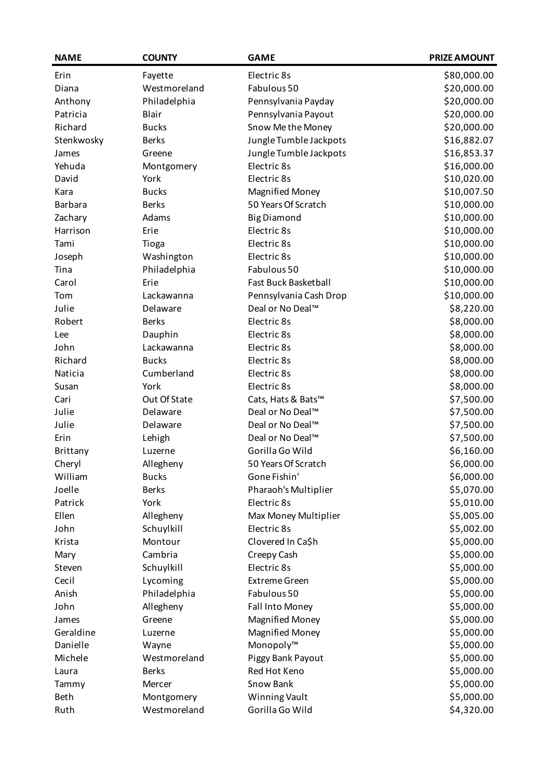| <b>NAME</b>    | <b>COUNTY</b> | <b>GAME</b>                  | <b>PRIZE AMOUNT</b> |
|----------------|---------------|------------------------------|---------------------|
| Erin           | Fayette       | Electric 8s                  | \$80,000.00         |
| Diana          | Westmoreland  | Fabulous 50                  | \$20,000.00         |
| Anthony        | Philadelphia  | Pennsylvania Payday          | \$20,000.00         |
| Patricia       | Blair         | Pennsylvania Payout          | \$20,000.00         |
| Richard        | <b>Bucks</b>  | Snow Me the Money            | \$20,000.00         |
| Stenkwosky     | <b>Berks</b>  | Jungle Tumble Jackpots       | \$16,882.07         |
| James          | Greene        | Jungle Tumble Jackpots       | \$16,853.37         |
| Yehuda         | Montgomery    | Electric 8s                  | \$16,000.00         |
| David          | York          | Electric 8s                  | \$10,020.00         |
| Kara           | <b>Bucks</b>  | <b>Magnified Money</b>       | \$10,007.50         |
| <b>Barbara</b> | <b>Berks</b>  | 50 Years Of Scratch          | \$10,000.00         |
| Zachary        | Adams         | <b>Big Diamond</b>           | \$10,000.00         |
| Harrison       | Erie          | Electric 8s                  | \$10,000.00         |
| Tami           | Tioga         | Electric 8s                  | \$10,000.00         |
| Joseph         | Washington    | Electric 8s                  | \$10,000.00         |
| Tina           | Philadelphia  | Fabulous 50                  | \$10,000.00         |
| Carol          | Erie          | <b>Fast Buck Basketball</b>  | \$10,000.00         |
| Tom            | Lackawanna    | Pennsylvania Cash Drop       | \$10,000.00         |
| Julie          | Delaware      | Deal or No Deal™             | \$8,220.00          |
| Robert         | <b>Berks</b>  | Electric 8s                  | \$8,000.00          |
| Lee            | Dauphin       | Electric 8s                  | \$8,000.00          |
| John           | Lackawanna    | Electric 8s                  | \$8,000.00          |
| Richard        | <b>Bucks</b>  | Electric 8s                  | \$8,000.00          |
| Naticia        | Cumberland    | Electric 8s                  | \$8,000.00          |
| Susan          | York          | Electric 8s                  | \$8,000.00          |
| Cari           | Out Of State  | Cats, Hats & Bats™           | \$7,500.00          |
| Julie          | Delaware      | Deal or No Deal <sup>™</sup> | \$7,500.00          |
| Julie          | Delaware      | Deal or No Deal™             | \$7,500.00          |
| Erin           | Lehigh        | Deal or No Deal™             | \$7,500.00          |
| Brittany       | Luzerne       | Gorilla Go Wild              | \$6,160.00          |
| Cheryl         | Allegheny     | 50 Years Of Scratch          | \$6,000.00          |
| William        | <b>Bucks</b>  | Gone Fishin'                 | \$6,000.00          |
| Joelle         | <b>Berks</b>  | Pharaoh's Multiplier         | \$5,070.00          |
| Patrick        | York          | Electric 8s                  | \$5,010.00          |
| Ellen          | Allegheny     | Max Money Multiplier         | \$5,005.00          |
| John           | Schuylkill    | Electric 8s                  | \$5,002.00          |
| Krista         | Montour       | Clovered In Ca\$h            | \$5,000.00          |
| Mary           | Cambria       | Creepy Cash                  | \$5,000.00          |
| Steven         | Schuylkill    | Electric 8s                  | \$5,000.00          |
| Cecil          | Lycoming      | <b>Extreme Green</b>         | \$5,000.00          |
| Anish          | Philadelphia  | Fabulous 50                  | \$5,000.00          |
| John           | Allegheny     | Fall Into Money              | \$5,000.00          |
| James          | Greene        | <b>Magnified Money</b>       | \$5,000.00          |
| Geraldine      | Luzerne       | <b>Magnified Money</b>       | \$5,000.00          |
| Danielle       | Wayne         | Monopoly™                    | \$5,000.00          |
| Michele        | Westmoreland  | Piggy Bank Payout            | \$5,000.00          |
| Laura          | <b>Berks</b>  | Red Hot Keno                 | \$5,000.00          |
| Tammy          | Mercer        | Snow Bank                    | \$5,000.00          |
| Beth           | Montgomery    | <b>Winning Vault</b>         | \$5,000.00          |
| Ruth           | Westmoreland  | Gorilla Go Wild              | \$4,320.00          |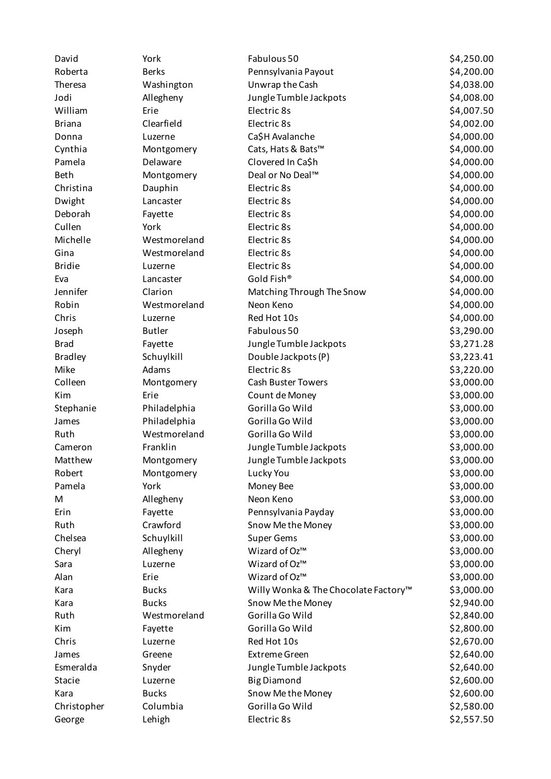| David          | York          | Fabulous 50                          | \$4,250.00 |
|----------------|---------------|--------------------------------------|------------|
| Roberta        | <b>Berks</b>  | Pennsylvania Payout                  | \$4,200.00 |
| Theresa        | Washington    | Unwrap the Cash                      | \$4,038.00 |
| Jodi           | Allegheny     | Jungle Tumble Jackpots               | \$4,008.00 |
| William        | Erie          | Electric 8s                          | \$4,007.50 |
| <b>Briana</b>  | Clearfield    | Electric 8s                          | \$4,002.00 |
| Donna          | Luzerne       | Ca\$H Avalanche                      | \$4,000.00 |
| Cynthia        | Montgomery    | Cats, Hats & Bats™                   | \$4,000.00 |
| Pamela         | Delaware      | Clovered In Ca\$h                    | \$4,000.00 |
| Beth           | Montgomery    | Deal or No Deal™                     | \$4,000.00 |
| Christina      | Dauphin       | Electric 8s                          | \$4,000.00 |
| Dwight         | Lancaster     | Electric 8s                          | \$4,000.00 |
| Deborah        | Fayette       | Electric 8s                          | \$4,000.00 |
| Cullen         | York          | Electric 8s                          | \$4,000.00 |
| Michelle       | Westmoreland  | Electric 8s                          | \$4,000.00 |
| Gina           | Westmoreland  | Electric 8s                          | \$4,000.00 |
| <b>Bridie</b>  | Luzerne       | Electric 8s                          | \$4,000.00 |
| Eva            | Lancaster     | Gold Fish®                           | \$4,000.00 |
| Jennifer       | Clarion       | Matching Through The Snow            | \$4,000.00 |
| Robin          | Westmoreland  | Neon Keno                            | \$4,000.00 |
| Chris          | Luzerne       | Red Hot 10s                          | \$4,000.00 |
| Joseph         | <b>Butler</b> | Fabulous 50                          | \$3,290.00 |
| <b>Brad</b>    | Fayette       | Jungle Tumble Jackpots               | \$3,271.28 |
| <b>Bradley</b> | Schuylkill    | Double Jackpots (P)                  | \$3,223.41 |
| Mike           | Adams         | Electric 8s                          | \$3,220.00 |
| Colleen        | Montgomery    | Cash Buster Towers                   | \$3,000.00 |
| Kim            | Erie          | Count de Money                       | \$3,000.00 |
| Stephanie      | Philadelphia  | Gorilla Go Wild                      | \$3,000.00 |
| James          | Philadelphia  | Gorilla Go Wild                      | \$3,000.00 |
| Ruth           | Westmoreland  | Gorilla Go Wild                      | \$3,000.00 |
| Cameron        | Franklin      | Jungle Tumble Jackpots               | \$3,000.00 |
| Matthew        | Montgomery    | Jungle Tumble Jackpots               | \$3,000.00 |
| Robert         | Montgomery    | Lucky You                            | \$3,000.00 |
| Pamela         | York          | Money Bee                            | \$3,000.00 |
| M              | Allegheny     | Neon Keno                            | \$3,000.00 |
| Erin           | Fayette       | Pennsylvania Payday                  | \$3,000.00 |
| Ruth           | Crawford      | Snow Me the Money                    | \$3,000.00 |
| Chelsea        | Schuylkill    | <b>Super Gems</b>                    | \$3,000.00 |
| Cheryl         | Allegheny     | Wizard of Oz™                        | \$3,000.00 |
| Sara           | Luzerne       | Wizard of Oz™                        | \$3,000.00 |
| Alan           | Erie          | Wizard of Oz™                        | \$3,000.00 |
| Kara           | <b>Bucks</b>  | Willy Wonka & The Chocolate Factory™ | \$3,000.00 |
| Kara           | <b>Bucks</b>  | Snow Me the Money                    | \$2,940.00 |
| Ruth           | Westmoreland  | Gorilla Go Wild                      | \$2,840.00 |
| Kim            | Fayette       | Gorilla Go Wild                      | \$2,800.00 |
| Chris          | Luzerne       | Red Hot 10s                          | \$2,670.00 |
| James          | Greene        | <b>Extreme Green</b>                 | \$2,640.00 |
| Esmeralda      | Snyder        | Jungle Tumble Jackpots               | \$2,640.00 |
| Stacie         | Luzerne       | <b>Big Diamond</b>                   | \$2,600.00 |
| Kara           | <b>Bucks</b>  | Snow Me the Money                    | \$2,600.00 |
| Christopher    | Columbia      | Gorilla Go Wild                      | \$2,580.00 |
| George         | Lehigh        | Electric 8s                          | \$2,557.50 |
|                |               |                                      |            |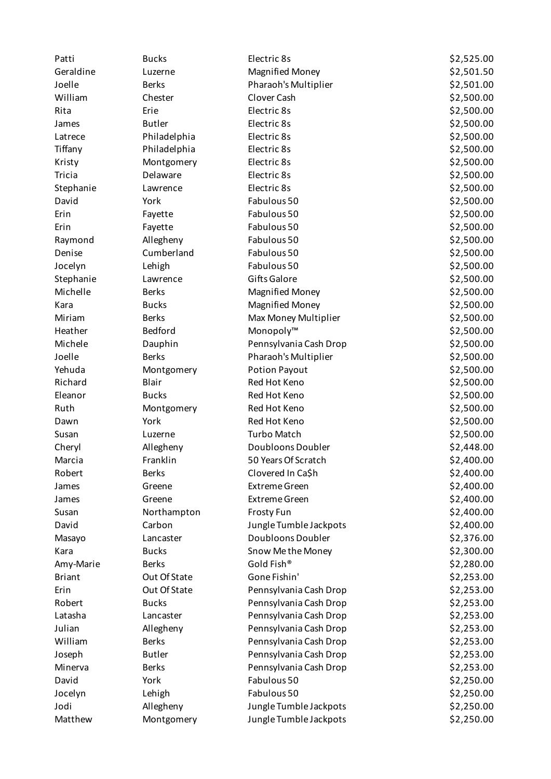| Patti         | <b>Bucks</b>  | Electric 8s            | \$2,525.00 |
|---------------|---------------|------------------------|------------|
| Geraldine     | Luzerne       | <b>Magnified Money</b> | \$2,501.50 |
| Joelle        | <b>Berks</b>  | Pharaoh's Multiplier   | \$2,501.00 |
| William       | Chester       | Clover Cash            | \$2,500.00 |
| Rita          | Erie          | Electric 8s            | \$2,500.00 |
| James         | <b>Butler</b> | Electric 8s            | \$2,500.00 |
| Latrece       | Philadelphia  | Electric 8s            | \$2,500.00 |
| Tiffany       | Philadelphia  | Electric 8s            | \$2,500.00 |
| Kristy        | Montgomery    | Electric 8s            | \$2,500.00 |
| Tricia        | Delaware      | Electric 8s            | \$2,500.00 |
| Stephanie     | Lawrence      | Electric 8s            | \$2,500.00 |
| David         | York          | Fabulous 50            | \$2,500.00 |
| Erin          | Fayette       | Fabulous 50            | \$2,500.00 |
| Erin          | Fayette       | Fabulous 50            | \$2,500.00 |
| Raymond       | Allegheny     | Fabulous 50            | \$2,500.00 |
| Denise        | Cumberland    | Fabulous 50            | \$2,500.00 |
| Jocelyn       | Lehigh        | Fabulous 50            | \$2,500.00 |
| Stephanie     | Lawrence      | Gifts Galore           | \$2,500.00 |
| Michelle      | <b>Berks</b>  | <b>Magnified Money</b> | \$2,500.00 |
| Kara          | <b>Bucks</b>  | <b>Magnified Money</b> | \$2,500.00 |
| Miriam        | <b>Berks</b>  | Max Money Multiplier   | \$2,500.00 |
| Heather       | Bedford       | Monopoly™              | \$2,500.00 |
| Michele       | Dauphin       | Pennsylvania Cash Drop | \$2,500.00 |
| Joelle        | <b>Berks</b>  | Pharaoh's Multiplier   | \$2,500.00 |
| Yehuda        | Montgomery    | Potion Payout          | \$2,500.00 |
| Richard       | Blair         | Red Hot Keno           | \$2,500.00 |
| Eleanor       | <b>Bucks</b>  | Red Hot Keno           | \$2,500.00 |
| Ruth          | Montgomery    | Red Hot Keno           | \$2,500.00 |
| Dawn          | York          | Red Hot Keno           | \$2,500.00 |
| Susan         | Luzerne       | <b>Turbo Match</b>     | \$2,500.00 |
| Cheryl        | Allegheny     | Doubloons Doubler      | \$2,448.00 |
| Marcia        | Franklin      | 50 Years Of Scratch    | \$2,400.00 |
| Robert        | <b>Berks</b>  | Clovered In Ca\$h      | \$2,400.00 |
| James         | Greene        | <b>Extreme Green</b>   | \$2,400.00 |
| James         | Greene        | <b>Extreme Green</b>   | \$2,400.00 |
| Susan         | Northampton   | Frosty Fun             | \$2,400.00 |
| David         | Carbon        | Jungle Tumble Jackpots | \$2,400.00 |
| Masayo        | Lancaster     | Doubloons Doubler      | \$2,376.00 |
| Kara          | <b>Bucks</b>  | Snow Me the Money      | \$2,300.00 |
| Amy-Marie     | <b>Berks</b>  | Gold Fish®             | \$2,280.00 |
| <b>Briant</b> | Out Of State  | Gone Fishin'           | \$2,253.00 |
| Erin          | Out Of State  | Pennsylvania Cash Drop | \$2,253.00 |
| Robert        | <b>Bucks</b>  | Pennsylvania Cash Drop | \$2,253.00 |
| Latasha       | Lancaster     | Pennsylvania Cash Drop | \$2,253.00 |
| Julian        | Allegheny     | Pennsylvania Cash Drop | \$2,253.00 |
| William       | <b>Berks</b>  | Pennsylvania Cash Drop | \$2,253.00 |
| Joseph        | <b>Butler</b> | Pennsylvania Cash Drop | \$2,253.00 |
| Minerva       | <b>Berks</b>  | Pennsylvania Cash Drop | \$2,253.00 |
| David         | York          | Fabulous 50            | \$2,250.00 |
| Jocelyn       | Lehigh        | Fabulous 50            | \$2,250.00 |
| Jodi          | Allegheny     | Jungle Tumble Jackpots | \$2,250.00 |
| Matthew       | Montgomery    | Jungle Tumble Jackpots | \$2,250.00 |
|               |               |                        |            |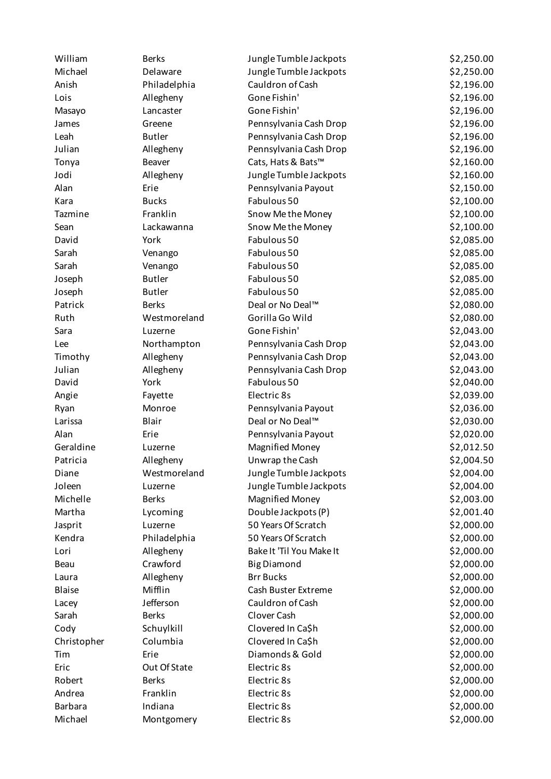| William        | <b>Berks</b>  | Jungle Tumble Jackpots   | \$2,250.00 |
|----------------|---------------|--------------------------|------------|
| Michael        | Delaware      | Jungle Tumble Jackpots   | \$2,250.00 |
| Anish          | Philadelphia  | Cauldron of Cash         | \$2,196.00 |
| Lois           | Allegheny     | Gone Fishin'             | \$2,196.00 |
| Masayo         | Lancaster     | Gone Fishin'             | \$2,196.00 |
| James          | Greene        | Pennsylvania Cash Drop   | \$2,196.00 |
| Leah           | <b>Butler</b> | Pennsylvania Cash Drop   | \$2,196.00 |
| Julian         | Allegheny     | Pennsylvania Cash Drop   | \$2,196.00 |
| Tonya          | <b>Beaver</b> | Cats, Hats & Bats™       | \$2,160.00 |
| Jodi           | Allegheny     | Jungle Tumble Jackpots   | \$2,160.00 |
| Alan           | Erie          | Pennsylvania Payout      | \$2,150.00 |
| Kara           | <b>Bucks</b>  | Fabulous 50              | \$2,100.00 |
| Tazmine        | Franklin      | Snow Me the Money        | \$2,100.00 |
| Sean           | Lackawanna    | Snow Me the Money        | \$2,100.00 |
| David          | York          | Fabulous 50              | \$2,085.00 |
| Sarah          | Venango       | Fabulous 50              | \$2,085.00 |
| Sarah          | Venango       | Fabulous 50              | \$2,085.00 |
| Joseph         | <b>Butler</b> | Fabulous 50              | \$2,085.00 |
| Joseph         | <b>Butler</b> | Fabulous 50              | \$2,085.00 |
| Patrick        | <b>Berks</b>  | Deal or No Deal™         | \$2,080.00 |
| Ruth           | Westmoreland  | Gorilla Go Wild          | \$2,080.00 |
| Sara           | Luzerne       | Gone Fishin'             | \$2,043.00 |
| Lee            | Northampton   | Pennsylvania Cash Drop   | \$2,043.00 |
| Timothy        | Allegheny     | Pennsylvania Cash Drop   | \$2,043.00 |
| Julian         | Allegheny     | Pennsylvania Cash Drop   | \$2,043.00 |
| David          | York          | Fabulous 50              | \$2,040.00 |
| Angie          | Fayette       | Electric 8s              | \$2,039.00 |
| Ryan           | Monroe        | Pennsylvania Payout      | \$2,036.00 |
| Larissa        | Blair         | Deal or No Deal™         | \$2,030.00 |
| Alan           | Erie          | Pennsylvania Payout      | \$2,020.00 |
| Geraldine      | Luzerne       | <b>Magnified Money</b>   | \$2,012.50 |
| Patricia       | Allegheny     | Unwrap the Cash          | \$2,004.50 |
| Diane          | Westmoreland  | Jungle Tumble Jackpots   | \$2,004.00 |
| Joleen         | Luzerne       | Jungle Tumble Jackpots   | \$2,004.00 |
| Michelle       | <b>Berks</b>  | <b>Magnified Money</b>   | \$2,003.00 |
| Martha         | Lycoming      | Double Jackpots (P)      | \$2,001.40 |
| Jasprit        | Luzerne       | 50 Years Of Scratch      | \$2,000.00 |
| Kendra         | Philadelphia  | 50 Years Of Scratch      | \$2,000.00 |
| Lori           | Allegheny     | Bake It 'Til You Make It | \$2,000.00 |
| Beau           | Crawford      | <b>Big Diamond</b>       | \$2,000.00 |
| Laura          | Allegheny     | <b>Brr Bucks</b>         | \$2,000.00 |
| Blaise         | Mifflin       | Cash Buster Extreme      | \$2,000.00 |
| Lacey          | Jefferson     | Cauldron of Cash         | \$2,000.00 |
| Sarah          | <b>Berks</b>  | Clover Cash              | \$2,000.00 |
| Cody           | Schuylkill    | Clovered In Ca\$h        | \$2,000.00 |
| Christopher    | Columbia      | Clovered In Ca\$h        | \$2,000.00 |
| Tim            | Erie          | Diamonds & Gold          | \$2,000.00 |
| Eric           | Out Of State  | Electric 8s              | \$2,000.00 |
| Robert         | <b>Berks</b>  | Electric 8s              | \$2,000.00 |
| Andrea         | Franklin      | Electric 8s              | \$2,000.00 |
| <b>Barbara</b> | Indiana       | Electric 8s              | \$2,000.00 |
| Michael        | Montgomery    | Electric 8s              | \$2,000.00 |
|                |               |                          |            |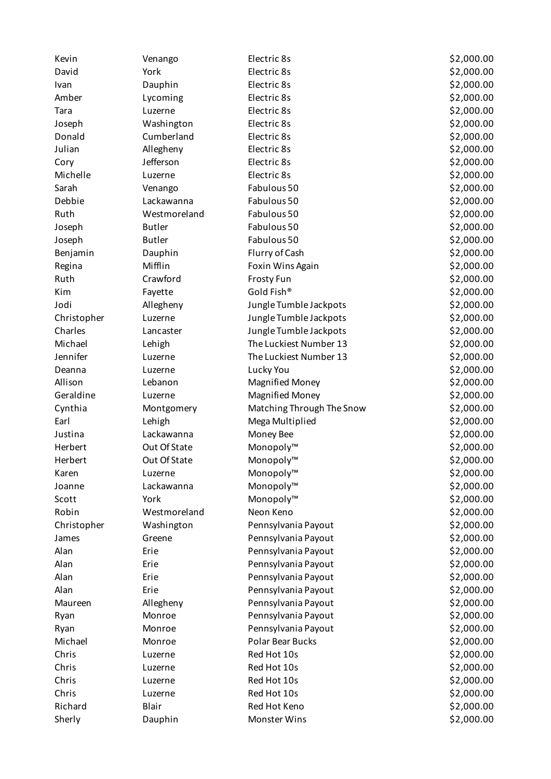| York<br>Electric 8s<br>\$2,000.00<br>David<br>\$2,000.00<br>Dauphin<br>Electric 8s<br>Ivan<br>\$2,000.00<br>Amber<br>Lycoming<br>Electric 8s<br>Electric 8s<br>\$2,000.00<br>Tara<br>Luzerne<br>Electric 8s<br>\$2,000.00<br>Washington<br>Joseph<br>Cumberland<br>Electric 8s<br>\$2,000.00<br>Donald<br>Julian<br>Electric 8s<br>\$2,000.00<br>Allegheny<br>Jefferson<br>Electric 8s<br>\$2,000.00<br>Cory<br>Michelle<br>Electric 8s<br>\$2,000.00<br>Luzerne<br>Sarah<br>Fabulous 50<br>\$2,000.00<br>Venango<br>Debbie<br>Fabulous 50<br>\$2,000.00<br>Lackawanna<br>Fabulous 50<br>\$2,000.00<br>Ruth<br>Westmoreland<br>Fabulous 50<br>\$2,000.00<br><b>Butler</b><br>Joseph<br><b>Butler</b><br>Fabulous 50<br>\$2,000.00<br>Joseph<br>Flurry of Cash<br>\$2,000.00<br>Benjamin<br>Dauphin<br>Mifflin<br>\$2,000.00<br>Foxin Wins Again<br>Regina<br>Crawford<br>\$2,000.00<br>Ruth<br><b>Frosty Fun</b><br>Gold Fish®<br>\$2,000.00<br>Kim<br>Fayette<br>Jodi<br>\$2,000.00<br>Allegheny<br>Jungle Tumble Jackpots<br>Jungle Tumble Jackpots<br>\$2,000.00<br>Christopher<br>Luzerne<br>\$2,000.00<br>Charles<br>Jungle Tumble Jackpots<br>Lancaster<br>Michael<br>The Luckiest Number 13<br>\$2,000.00<br>Lehigh<br>Jennifer<br>The Luckiest Number 13<br>\$2,000.00<br>Luzerne<br>\$2,000.00<br>Lucky You<br>Deanna<br>Luzerne<br>Allison<br>\$2,000.00<br>Lebanon<br><b>Magnified Money</b><br>Geraldine<br><b>Magnified Money</b><br>\$2,000.00<br>Luzerne<br>Matching Through The Snow<br>\$2,000.00<br>Cynthia<br>Montgomery<br>\$2,000.00<br>Earl<br>Mega Multiplied<br>Lehigh<br>\$2,000.00<br>Justina<br>Lackawanna<br>Money Bee<br>Out Of State<br>Monopoly™<br>\$2,000.00<br>Herbert<br>Herbert<br>Out Of State<br>Monopoly™<br>\$2,000.00<br>Monopoly™<br>\$2,000.00<br>Karen<br>Luzerne<br>Monopoly™<br>\$2,000.00<br>Lackawanna<br>Joanne<br>Monopoly™<br>\$2,000.00<br>Scott<br>York<br>Robin<br>Neon Keno<br>\$2,000.00<br>Westmoreland<br>Pennsylvania Payout<br>\$2,000.00<br>Christopher<br>Washington<br>\$2,000.00<br>Greene<br>Pennsylvania Payout<br>James<br>Alan<br>Pennsylvania Payout<br>\$2,000.00<br>Erie<br>Alan<br>Pennsylvania Payout<br>\$2,000.00<br>Erie<br>\$2,000.00<br>Erie<br>Alan<br>Pennsylvania Payout<br>Alan<br>Erie<br>Pennsylvania Payout<br>\$2,000.00<br>Pennsylvania Payout<br>\$2,000.00<br>Maureen<br>Allegheny<br>\$2,000.00<br>Pennsylvania Payout<br>Monroe<br>Ryan<br>Pennsylvania Payout<br>\$2,000.00<br>Ryan<br>Monroe<br>Michael<br>Polar Bear Bucks<br>\$2,000.00<br>Monroe<br>Red Hot 10s<br>\$2,000.00<br>Chris<br>Luzerne<br>Red Hot 10s<br>\$2,000.00<br>Chris<br>Luzerne<br>\$2,000.00<br>Chris<br>Red Hot 10s<br>Luzerne<br>\$2,000.00<br>Chris<br>Red Hot 10s<br>Luzerne<br>Richard<br>Red Hot Keno<br>\$2,000.00<br>Blair | Kevin | Venango | Electric 8s | \$2,000.00 |
|--------------------------------------------------------------------------------------------------------------------------------------------------------------------------------------------------------------------------------------------------------------------------------------------------------------------------------------------------------------------------------------------------------------------------------------------------------------------------------------------------------------------------------------------------------------------------------------------------------------------------------------------------------------------------------------------------------------------------------------------------------------------------------------------------------------------------------------------------------------------------------------------------------------------------------------------------------------------------------------------------------------------------------------------------------------------------------------------------------------------------------------------------------------------------------------------------------------------------------------------------------------------------------------------------------------------------------------------------------------------------------------------------------------------------------------------------------------------------------------------------------------------------------------------------------------------------------------------------------------------------------------------------------------------------------------------------------------------------------------------------------------------------------------------------------------------------------------------------------------------------------------------------------------------------------------------------------------------------------------------------------------------------------------------------------------------------------------------------------------------------------------------------------------------------------------------------------------------------------------------------------------------------------------------------------------------------------------------------------------------------------------------------------------------------------------------------------------------------------------------------------------------------------------------------------------------------------------------------------------------------------------------------------------------------------------------------------------------------------------------------------------------------------------------------------|-------|---------|-------------|------------|
|                                                                                                                                                                                                                                                                                                                                                                                                                                                                                                                                                                                                                                                                                                                                                                                                                                                                                                                                                                                                                                                                                                                                                                                                                                                                                                                                                                                                                                                                                                                                                                                                                                                                                                                                                                                                                                                                                                                                                                                                                                                                                                                                                                                                                                                                                                                                                                                                                                                                                                                                                                                                                                                                                                                                                                                                        |       |         |             |            |
|                                                                                                                                                                                                                                                                                                                                                                                                                                                                                                                                                                                                                                                                                                                                                                                                                                                                                                                                                                                                                                                                                                                                                                                                                                                                                                                                                                                                                                                                                                                                                                                                                                                                                                                                                                                                                                                                                                                                                                                                                                                                                                                                                                                                                                                                                                                                                                                                                                                                                                                                                                                                                                                                                                                                                                                                        |       |         |             |            |
|                                                                                                                                                                                                                                                                                                                                                                                                                                                                                                                                                                                                                                                                                                                                                                                                                                                                                                                                                                                                                                                                                                                                                                                                                                                                                                                                                                                                                                                                                                                                                                                                                                                                                                                                                                                                                                                                                                                                                                                                                                                                                                                                                                                                                                                                                                                                                                                                                                                                                                                                                                                                                                                                                                                                                                                                        |       |         |             |            |
|                                                                                                                                                                                                                                                                                                                                                                                                                                                                                                                                                                                                                                                                                                                                                                                                                                                                                                                                                                                                                                                                                                                                                                                                                                                                                                                                                                                                                                                                                                                                                                                                                                                                                                                                                                                                                                                                                                                                                                                                                                                                                                                                                                                                                                                                                                                                                                                                                                                                                                                                                                                                                                                                                                                                                                                                        |       |         |             |            |
|                                                                                                                                                                                                                                                                                                                                                                                                                                                                                                                                                                                                                                                                                                                                                                                                                                                                                                                                                                                                                                                                                                                                                                                                                                                                                                                                                                                                                                                                                                                                                                                                                                                                                                                                                                                                                                                                                                                                                                                                                                                                                                                                                                                                                                                                                                                                                                                                                                                                                                                                                                                                                                                                                                                                                                                                        |       |         |             |            |
|                                                                                                                                                                                                                                                                                                                                                                                                                                                                                                                                                                                                                                                                                                                                                                                                                                                                                                                                                                                                                                                                                                                                                                                                                                                                                                                                                                                                                                                                                                                                                                                                                                                                                                                                                                                                                                                                                                                                                                                                                                                                                                                                                                                                                                                                                                                                                                                                                                                                                                                                                                                                                                                                                                                                                                                                        |       |         |             |            |
|                                                                                                                                                                                                                                                                                                                                                                                                                                                                                                                                                                                                                                                                                                                                                                                                                                                                                                                                                                                                                                                                                                                                                                                                                                                                                                                                                                                                                                                                                                                                                                                                                                                                                                                                                                                                                                                                                                                                                                                                                                                                                                                                                                                                                                                                                                                                                                                                                                                                                                                                                                                                                                                                                                                                                                                                        |       |         |             |            |
|                                                                                                                                                                                                                                                                                                                                                                                                                                                                                                                                                                                                                                                                                                                                                                                                                                                                                                                                                                                                                                                                                                                                                                                                                                                                                                                                                                                                                                                                                                                                                                                                                                                                                                                                                                                                                                                                                                                                                                                                                                                                                                                                                                                                                                                                                                                                                                                                                                                                                                                                                                                                                                                                                                                                                                                                        |       |         |             |            |
|                                                                                                                                                                                                                                                                                                                                                                                                                                                                                                                                                                                                                                                                                                                                                                                                                                                                                                                                                                                                                                                                                                                                                                                                                                                                                                                                                                                                                                                                                                                                                                                                                                                                                                                                                                                                                                                                                                                                                                                                                                                                                                                                                                                                                                                                                                                                                                                                                                                                                                                                                                                                                                                                                                                                                                                                        |       |         |             |            |
|                                                                                                                                                                                                                                                                                                                                                                                                                                                                                                                                                                                                                                                                                                                                                                                                                                                                                                                                                                                                                                                                                                                                                                                                                                                                                                                                                                                                                                                                                                                                                                                                                                                                                                                                                                                                                                                                                                                                                                                                                                                                                                                                                                                                                                                                                                                                                                                                                                                                                                                                                                                                                                                                                                                                                                                                        |       |         |             |            |
|                                                                                                                                                                                                                                                                                                                                                                                                                                                                                                                                                                                                                                                                                                                                                                                                                                                                                                                                                                                                                                                                                                                                                                                                                                                                                                                                                                                                                                                                                                                                                                                                                                                                                                                                                                                                                                                                                                                                                                                                                                                                                                                                                                                                                                                                                                                                                                                                                                                                                                                                                                                                                                                                                                                                                                                                        |       |         |             |            |
|                                                                                                                                                                                                                                                                                                                                                                                                                                                                                                                                                                                                                                                                                                                                                                                                                                                                                                                                                                                                                                                                                                                                                                                                                                                                                                                                                                                                                                                                                                                                                                                                                                                                                                                                                                                                                                                                                                                                                                                                                                                                                                                                                                                                                                                                                                                                                                                                                                                                                                                                                                                                                                                                                                                                                                                                        |       |         |             |            |
|                                                                                                                                                                                                                                                                                                                                                                                                                                                                                                                                                                                                                                                                                                                                                                                                                                                                                                                                                                                                                                                                                                                                                                                                                                                                                                                                                                                                                                                                                                                                                                                                                                                                                                                                                                                                                                                                                                                                                                                                                                                                                                                                                                                                                                                                                                                                                                                                                                                                                                                                                                                                                                                                                                                                                                                                        |       |         |             |            |
|                                                                                                                                                                                                                                                                                                                                                                                                                                                                                                                                                                                                                                                                                                                                                                                                                                                                                                                                                                                                                                                                                                                                                                                                                                                                                                                                                                                                                                                                                                                                                                                                                                                                                                                                                                                                                                                                                                                                                                                                                                                                                                                                                                                                                                                                                                                                                                                                                                                                                                                                                                                                                                                                                                                                                                                                        |       |         |             |            |
|                                                                                                                                                                                                                                                                                                                                                                                                                                                                                                                                                                                                                                                                                                                                                                                                                                                                                                                                                                                                                                                                                                                                                                                                                                                                                                                                                                                                                                                                                                                                                                                                                                                                                                                                                                                                                                                                                                                                                                                                                                                                                                                                                                                                                                                                                                                                                                                                                                                                                                                                                                                                                                                                                                                                                                                                        |       |         |             |            |
|                                                                                                                                                                                                                                                                                                                                                                                                                                                                                                                                                                                                                                                                                                                                                                                                                                                                                                                                                                                                                                                                                                                                                                                                                                                                                                                                                                                                                                                                                                                                                                                                                                                                                                                                                                                                                                                                                                                                                                                                                                                                                                                                                                                                                                                                                                                                                                                                                                                                                                                                                                                                                                                                                                                                                                                                        |       |         |             |            |
|                                                                                                                                                                                                                                                                                                                                                                                                                                                                                                                                                                                                                                                                                                                                                                                                                                                                                                                                                                                                                                                                                                                                                                                                                                                                                                                                                                                                                                                                                                                                                                                                                                                                                                                                                                                                                                                                                                                                                                                                                                                                                                                                                                                                                                                                                                                                                                                                                                                                                                                                                                                                                                                                                                                                                                                                        |       |         |             |            |
|                                                                                                                                                                                                                                                                                                                                                                                                                                                                                                                                                                                                                                                                                                                                                                                                                                                                                                                                                                                                                                                                                                                                                                                                                                                                                                                                                                                                                                                                                                                                                                                                                                                                                                                                                                                                                                                                                                                                                                                                                                                                                                                                                                                                                                                                                                                                                                                                                                                                                                                                                                                                                                                                                                                                                                                                        |       |         |             |            |
|                                                                                                                                                                                                                                                                                                                                                                                                                                                                                                                                                                                                                                                                                                                                                                                                                                                                                                                                                                                                                                                                                                                                                                                                                                                                                                                                                                                                                                                                                                                                                                                                                                                                                                                                                                                                                                                                                                                                                                                                                                                                                                                                                                                                                                                                                                                                                                                                                                                                                                                                                                                                                                                                                                                                                                                                        |       |         |             |            |
|                                                                                                                                                                                                                                                                                                                                                                                                                                                                                                                                                                                                                                                                                                                                                                                                                                                                                                                                                                                                                                                                                                                                                                                                                                                                                                                                                                                                                                                                                                                                                                                                                                                                                                                                                                                                                                                                                                                                                                                                                                                                                                                                                                                                                                                                                                                                                                                                                                                                                                                                                                                                                                                                                                                                                                                                        |       |         |             |            |
|                                                                                                                                                                                                                                                                                                                                                                                                                                                                                                                                                                                                                                                                                                                                                                                                                                                                                                                                                                                                                                                                                                                                                                                                                                                                                                                                                                                                                                                                                                                                                                                                                                                                                                                                                                                                                                                                                                                                                                                                                                                                                                                                                                                                                                                                                                                                                                                                                                                                                                                                                                                                                                                                                                                                                                                                        |       |         |             |            |
|                                                                                                                                                                                                                                                                                                                                                                                                                                                                                                                                                                                                                                                                                                                                                                                                                                                                                                                                                                                                                                                                                                                                                                                                                                                                                                                                                                                                                                                                                                                                                                                                                                                                                                                                                                                                                                                                                                                                                                                                                                                                                                                                                                                                                                                                                                                                                                                                                                                                                                                                                                                                                                                                                                                                                                                                        |       |         |             |            |
|                                                                                                                                                                                                                                                                                                                                                                                                                                                                                                                                                                                                                                                                                                                                                                                                                                                                                                                                                                                                                                                                                                                                                                                                                                                                                                                                                                                                                                                                                                                                                                                                                                                                                                                                                                                                                                                                                                                                                                                                                                                                                                                                                                                                                                                                                                                                                                                                                                                                                                                                                                                                                                                                                                                                                                                                        |       |         |             |            |
|                                                                                                                                                                                                                                                                                                                                                                                                                                                                                                                                                                                                                                                                                                                                                                                                                                                                                                                                                                                                                                                                                                                                                                                                                                                                                                                                                                                                                                                                                                                                                                                                                                                                                                                                                                                                                                                                                                                                                                                                                                                                                                                                                                                                                                                                                                                                                                                                                                                                                                                                                                                                                                                                                                                                                                                                        |       |         |             |            |
|                                                                                                                                                                                                                                                                                                                                                                                                                                                                                                                                                                                                                                                                                                                                                                                                                                                                                                                                                                                                                                                                                                                                                                                                                                                                                                                                                                                                                                                                                                                                                                                                                                                                                                                                                                                                                                                                                                                                                                                                                                                                                                                                                                                                                                                                                                                                                                                                                                                                                                                                                                                                                                                                                                                                                                                                        |       |         |             |            |
|                                                                                                                                                                                                                                                                                                                                                                                                                                                                                                                                                                                                                                                                                                                                                                                                                                                                                                                                                                                                                                                                                                                                                                                                                                                                                                                                                                                                                                                                                                                                                                                                                                                                                                                                                                                                                                                                                                                                                                                                                                                                                                                                                                                                                                                                                                                                                                                                                                                                                                                                                                                                                                                                                                                                                                                                        |       |         |             |            |
|                                                                                                                                                                                                                                                                                                                                                                                                                                                                                                                                                                                                                                                                                                                                                                                                                                                                                                                                                                                                                                                                                                                                                                                                                                                                                                                                                                                                                                                                                                                                                                                                                                                                                                                                                                                                                                                                                                                                                                                                                                                                                                                                                                                                                                                                                                                                                                                                                                                                                                                                                                                                                                                                                                                                                                                                        |       |         |             |            |
|                                                                                                                                                                                                                                                                                                                                                                                                                                                                                                                                                                                                                                                                                                                                                                                                                                                                                                                                                                                                                                                                                                                                                                                                                                                                                                                                                                                                                                                                                                                                                                                                                                                                                                                                                                                                                                                                                                                                                                                                                                                                                                                                                                                                                                                                                                                                                                                                                                                                                                                                                                                                                                                                                                                                                                                                        |       |         |             |            |
|                                                                                                                                                                                                                                                                                                                                                                                                                                                                                                                                                                                                                                                                                                                                                                                                                                                                                                                                                                                                                                                                                                                                                                                                                                                                                                                                                                                                                                                                                                                                                                                                                                                                                                                                                                                                                                                                                                                                                                                                                                                                                                                                                                                                                                                                                                                                                                                                                                                                                                                                                                                                                                                                                                                                                                                                        |       |         |             |            |
|                                                                                                                                                                                                                                                                                                                                                                                                                                                                                                                                                                                                                                                                                                                                                                                                                                                                                                                                                                                                                                                                                                                                                                                                                                                                                                                                                                                                                                                                                                                                                                                                                                                                                                                                                                                                                                                                                                                                                                                                                                                                                                                                                                                                                                                                                                                                                                                                                                                                                                                                                                                                                                                                                                                                                                                                        |       |         |             |            |
|                                                                                                                                                                                                                                                                                                                                                                                                                                                                                                                                                                                                                                                                                                                                                                                                                                                                                                                                                                                                                                                                                                                                                                                                                                                                                                                                                                                                                                                                                                                                                                                                                                                                                                                                                                                                                                                                                                                                                                                                                                                                                                                                                                                                                                                                                                                                                                                                                                                                                                                                                                                                                                                                                                                                                                                                        |       |         |             |            |
|                                                                                                                                                                                                                                                                                                                                                                                                                                                                                                                                                                                                                                                                                                                                                                                                                                                                                                                                                                                                                                                                                                                                                                                                                                                                                                                                                                                                                                                                                                                                                                                                                                                                                                                                                                                                                                                                                                                                                                                                                                                                                                                                                                                                                                                                                                                                                                                                                                                                                                                                                                                                                                                                                                                                                                                                        |       |         |             |            |
|                                                                                                                                                                                                                                                                                                                                                                                                                                                                                                                                                                                                                                                                                                                                                                                                                                                                                                                                                                                                                                                                                                                                                                                                                                                                                                                                                                                                                                                                                                                                                                                                                                                                                                                                                                                                                                                                                                                                                                                                                                                                                                                                                                                                                                                                                                                                                                                                                                                                                                                                                                                                                                                                                                                                                                                                        |       |         |             |            |
|                                                                                                                                                                                                                                                                                                                                                                                                                                                                                                                                                                                                                                                                                                                                                                                                                                                                                                                                                                                                                                                                                                                                                                                                                                                                                                                                                                                                                                                                                                                                                                                                                                                                                                                                                                                                                                                                                                                                                                                                                                                                                                                                                                                                                                                                                                                                                                                                                                                                                                                                                                                                                                                                                                                                                                                                        |       |         |             |            |
|                                                                                                                                                                                                                                                                                                                                                                                                                                                                                                                                                                                                                                                                                                                                                                                                                                                                                                                                                                                                                                                                                                                                                                                                                                                                                                                                                                                                                                                                                                                                                                                                                                                                                                                                                                                                                                                                                                                                                                                                                                                                                                                                                                                                                                                                                                                                                                                                                                                                                                                                                                                                                                                                                                                                                                                                        |       |         |             |            |
|                                                                                                                                                                                                                                                                                                                                                                                                                                                                                                                                                                                                                                                                                                                                                                                                                                                                                                                                                                                                                                                                                                                                                                                                                                                                                                                                                                                                                                                                                                                                                                                                                                                                                                                                                                                                                                                                                                                                                                                                                                                                                                                                                                                                                                                                                                                                                                                                                                                                                                                                                                                                                                                                                                                                                                                                        |       |         |             |            |
|                                                                                                                                                                                                                                                                                                                                                                                                                                                                                                                                                                                                                                                                                                                                                                                                                                                                                                                                                                                                                                                                                                                                                                                                                                                                                                                                                                                                                                                                                                                                                                                                                                                                                                                                                                                                                                                                                                                                                                                                                                                                                                                                                                                                                                                                                                                                                                                                                                                                                                                                                                                                                                                                                                                                                                                                        |       |         |             |            |
|                                                                                                                                                                                                                                                                                                                                                                                                                                                                                                                                                                                                                                                                                                                                                                                                                                                                                                                                                                                                                                                                                                                                                                                                                                                                                                                                                                                                                                                                                                                                                                                                                                                                                                                                                                                                                                                                                                                                                                                                                                                                                                                                                                                                                                                                                                                                                                                                                                                                                                                                                                                                                                                                                                                                                                                                        |       |         |             |            |
|                                                                                                                                                                                                                                                                                                                                                                                                                                                                                                                                                                                                                                                                                                                                                                                                                                                                                                                                                                                                                                                                                                                                                                                                                                                                                                                                                                                                                                                                                                                                                                                                                                                                                                                                                                                                                                                                                                                                                                                                                                                                                                                                                                                                                                                                                                                                                                                                                                                                                                                                                                                                                                                                                                                                                                                                        |       |         |             |            |
|                                                                                                                                                                                                                                                                                                                                                                                                                                                                                                                                                                                                                                                                                                                                                                                                                                                                                                                                                                                                                                                                                                                                                                                                                                                                                                                                                                                                                                                                                                                                                                                                                                                                                                                                                                                                                                                                                                                                                                                                                                                                                                                                                                                                                                                                                                                                                                                                                                                                                                                                                                                                                                                                                                                                                                                                        |       |         |             |            |
|                                                                                                                                                                                                                                                                                                                                                                                                                                                                                                                                                                                                                                                                                                                                                                                                                                                                                                                                                                                                                                                                                                                                                                                                                                                                                                                                                                                                                                                                                                                                                                                                                                                                                                                                                                                                                                                                                                                                                                                                                                                                                                                                                                                                                                                                                                                                                                                                                                                                                                                                                                                                                                                                                                                                                                                                        |       |         |             |            |
|                                                                                                                                                                                                                                                                                                                                                                                                                                                                                                                                                                                                                                                                                                                                                                                                                                                                                                                                                                                                                                                                                                                                                                                                                                                                                                                                                                                                                                                                                                                                                                                                                                                                                                                                                                                                                                                                                                                                                                                                                                                                                                                                                                                                                                                                                                                                                                                                                                                                                                                                                                                                                                                                                                                                                                                                        |       |         |             |            |
|                                                                                                                                                                                                                                                                                                                                                                                                                                                                                                                                                                                                                                                                                                                                                                                                                                                                                                                                                                                                                                                                                                                                                                                                                                                                                                                                                                                                                                                                                                                                                                                                                                                                                                                                                                                                                                                                                                                                                                                                                                                                                                                                                                                                                                                                                                                                                                                                                                                                                                                                                                                                                                                                                                                                                                                                        |       |         |             |            |
|                                                                                                                                                                                                                                                                                                                                                                                                                                                                                                                                                                                                                                                                                                                                                                                                                                                                                                                                                                                                                                                                                                                                                                                                                                                                                                                                                                                                                                                                                                                                                                                                                                                                                                                                                                                                                                                                                                                                                                                                                                                                                                                                                                                                                                                                                                                                                                                                                                                                                                                                                                                                                                                                                                                                                                                                        |       |         |             |            |
|                                                                                                                                                                                                                                                                                                                                                                                                                                                                                                                                                                                                                                                                                                                                                                                                                                                                                                                                                                                                                                                                                                                                                                                                                                                                                                                                                                                                                                                                                                                                                                                                                                                                                                                                                                                                                                                                                                                                                                                                                                                                                                                                                                                                                                                                                                                                                                                                                                                                                                                                                                                                                                                                                                                                                                                                        |       |         |             |            |
|                                                                                                                                                                                                                                                                                                                                                                                                                                                                                                                                                                                                                                                                                                                                                                                                                                                                                                                                                                                                                                                                                                                                                                                                                                                                                                                                                                                                                                                                                                                                                                                                                                                                                                                                                                                                                                                                                                                                                                                                                                                                                                                                                                                                                                                                                                                                                                                                                                                                                                                                                                                                                                                                                                                                                                                                        |       |         |             |            |
|                                                                                                                                                                                                                                                                                                                                                                                                                                                                                                                                                                                                                                                                                                                                                                                                                                                                                                                                                                                                                                                                                                                                                                                                                                                                                                                                                                                                                                                                                                                                                                                                                                                                                                                                                                                                                                                                                                                                                                                                                                                                                                                                                                                                                                                                                                                                                                                                                                                                                                                                                                                                                                                                                                                                                                                                        |       |         |             |            |
|                                                                                                                                                                                                                                                                                                                                                                                                                                                                                                                                                                                                                                                                                                                                                                                                                                                                                                                                                                                                                                                                                                                                                                                                                                                                                                                                                                                                                                                                                                                                                                                                                                                                                                                                                                                                                                                                                                                                                                                                                                                                                                                                                                                                                                                                                                                                                                                                                                                                                                                                                                                                                                                                                                                                                                                                        |       |         |             |            |
|                                                                                                                                                                                                                                                                                                                                                                                                                                                                                                                                                                                                                                                                                                                                                                                                                                                                                                                                                                                                                                                                                                                                                                                                                                                                                                                                                                                                                                                                                                                                                                                                                                                                                                                                                                                                                                                                                                                                                                                                                                                                                                                                                                                                                                                                                                                                                                                                                                                                                                                                                                                                                                                                                                                                                                                                        |       |         |             |            |
|                                                                                                                                                                                                                                                                                                                                                                                                                                                                                                                                                                                                                                                                                                                                                                                                                                                                                                                                                                                                                                                                                                                                                                                                                                                                                                                                                                                                                                                                                                                                                                                                                                                                                                                                                                                                                                                                                                                                                                                                                                                                                                                                                                                                                                                                                                                                                                                                                                                                                                                                                                                                                                                                                                                                                                                                        |       |         |             |            |
| \$2,000.00<br>Monster Wins<br>Sherly<br>Dauphin                                                                                                                                                                                                                                                                                                                                                                                                                                                                                                                                                                                                                                                                                                                                                                                                                                                                                                                                                                                                                                                                                                                                                                                                                                                                                                                                                                                                                                                                                                                                                                                                                                                                                                                                                                                                                                                                                                                                                                                                                                                                                                                                                                                                                                                                                                                                                                                                                                                                                                                                                                                                                                                                                                                                                        |       |         |             |            |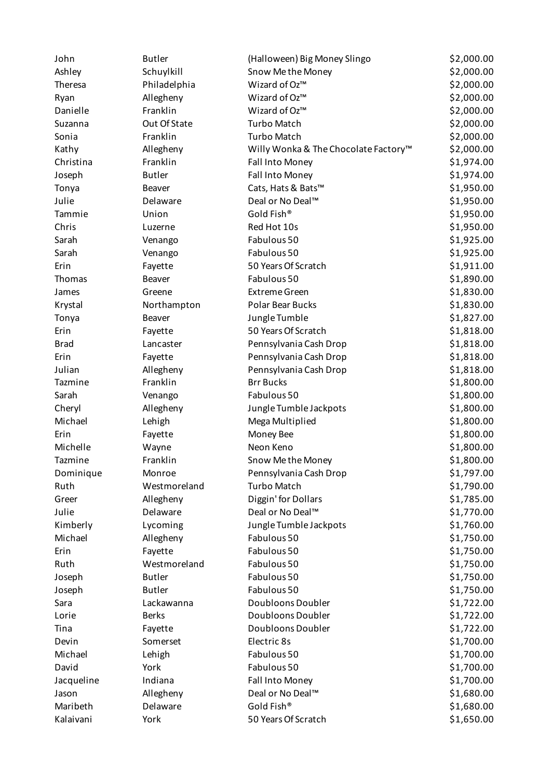| John        | <b>Butler</b> | (Halloween) Big Money Slingo         | \$2,000.00 |
|-------------|---------------|--------------------------------------|------------|
| Ashley      | Schuylkill    | Snow Me the Money                    | \$2,000.00 |
| Theresa     | Philadelphia  | Wizard of Oz™                        | \$2,000.00 |
| Ryan        | Allegheny     | Wizard of Oz™                        | \$2,000.00 |
| Danielle    | Franklin      | Wizard of Oz™                        | \$2,000.00 |
| Suzanna     | Out Of State  | <b>Turbo Match</b>                   | \$2,000.00 |
| Sonia       | Franklin      | <b>Turbo Match</b>                   | \$2,000.00 |
| Kathy       | Allegheny     | Willy Wonka & The Chocolate Factory™ | \$2,000.00 |
| Christina   | Franklin      | Fall Into Money                      | \$1,974.00 |
| Joseph      | <b>Butler</b> | Fall Into Money                      | \$1,974.00 |
| Tonya       | <b>Beaver</b> | Cats, Hats & Bats™                   | \$1,950.00 |
| Julie       | Delaware      | Deal or No Deal™                     | \$1,950.00 |
| Tammie      | Union         | Gold Fish®                           | \$1,950.00 |
| Chris       | Luzerne       | Red Hot 10s                          | \$1,950.00 |
| Sarah       | Venango       | Fabulous 50                          | \$1,925.00 |
| Sarah       | Venango       | Fabulous 50                          | \$1,925.00 |
| Erin        | Fayette       | 50 Years Of Scratch                  | \$1,911.00 |
| Thomas      | Beaver        | Fabulous 50                          | \$1,890.00 |
| James       | Greene        | <b>Extreme Green</b>                 | \$1,830.00 |
| Krystal     | Northampton   | Polar Bear Bucks                     | \$1,830.00 |
| Tonya       | Beaver        | Jungle Tumble                        | \$1,827.00 |
| Erin        | Fayette       | 50 Years Of Scratch                  | \$1,818.00 |
| <b>Brad</b> | Lancaster     | Pennsylvania Cash Drop               | \$1,818.00 |
| Erin        | Fayette       | Pennsylvania Cash Drop               | \$1,818.00 |
| Julian      | Allegheny     | Pennsylvania Cash Drop               | \$1,818.00 |
| Tazmine     | Franklin      | <b>Brr Bucks</b>                     | \$1,800.00 |
| Sarah       | Venango       | Fabulous 50                          | \$1,800.00 |
| Cheryl      | Allegheny     | Jungle Tumble Jackpots               | \$1,800.00 |
| Michael     | Lehigh        | Mega Multiplied                      | \$1,800.00 |
| Erin        | Fayette       | Money Bee                            | \$1,800.00 |
| Michelle    | Wayne         | Neon Keno                            | \$1,800.00 |
| Tazmine     | Franklin      | Snow Me the Money                    | \$1,800.00 |
| Dominique   | Monroe        | Pennsylvania Cash Drop               | \$1,797.00 |
| Ruth        | Westmoreland  | <b>Turbo Match</b>                   | \$1,790.00 |
| Greer       | Allegheny     | Diggin' for Dollars                  | \$1,785.00 |
| Julie       | Delaware      | Deal or No Deal™                     | \$1,770.00 |
| Kimberly    | Lycoming      | Jungle Tumble Jackpots               | \$1,760.00 |
| Michael     | Allegheny     | Fabulous 50                          | \$1,750.00 |
| Erin        | Fayette       | Fabulous 50                          | \$1,750.00 |
| Ruth        | Westmoreland  | Fabulous 50                          | \$1,750.00 |
| Joseph      | <b>Butler</b> | Fabulous 50                          | \$1,750.00 |
| Joseph      | <b>Butler</b> | Fabulous 50                          | \$1,750.00 |
| Sara        | Lackawanna    | Doubloons Doubler                    | \$1,722.00 |
| Lorie       | <b>Berks</b>  | <b>Doubloons Doubler</b>             | \$1,722.00 |
| Tina        | Fayette       | Doubloons Doubler                    | \$1,722.00 |
| Devin       | Somerset      | Electric 8s                          | \$1,700.00 |
| Michael     | Lehigh        | Fabulous 50                          | \$1,700.00 |
| David       | York          | Fabulous 50                          | \$1,700.00 |
| Jacqueline  | Indiana       | Fall Into Money                      | \$1,700.00 |
| Jason       | Allegheny     | Deal or No Deal™                     | \$1,680.00 |
| Maribeth    | Delaware      | Gold Fish®                           | \$1,680.00 |
| Kalaivani   | York          | 50 Years Of Scratch                  | \$1,650.00 |
|             |               |                                      |            |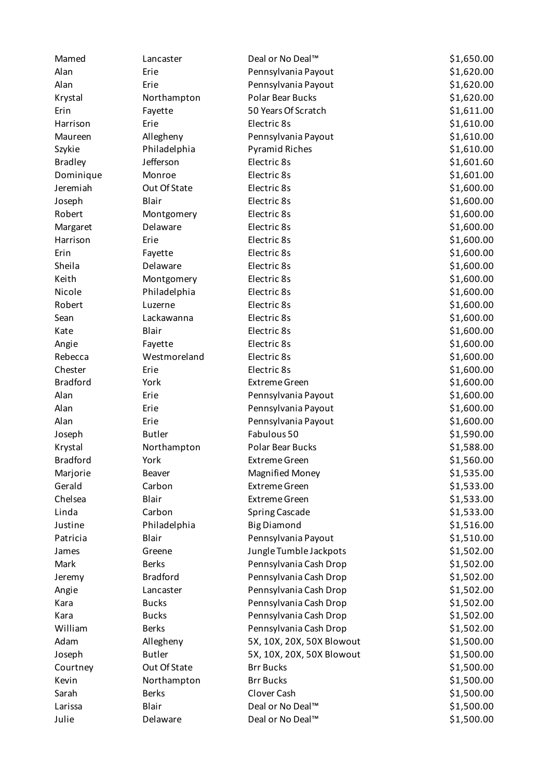| Mamed           | Lancaster       | Deal or No Deal™             | \$1,650.00 |
|-----------------|-----------------|------------------------------|------------|
| Alan            | Erie            | Pennsylvania Payout          | \$1,620.00 |
| Alan            | Erie            | Pennsylvania Payout          | \$1,620.00 |
| Krystal         | Northampton     | Polar Bear Bucks             | \$1,620.00 |
| Erin            | Fayette         | 50 Years Of Scratch          | \$1,611.00 |
| Harrison        | Erie            | Electric 8s                  | \$1,610.00 |
| Maureen         | Allegheny       | Pennsylvania Payout          | \$1,610.00 |
| Szykie          | Philadelphia    | <b>Pyramid Riches</b>        | \$1,610.00 |
| <b>Bradley</b>  | Jefferson       | Electric 8s                  | \$1,601.60 |
| Dominique       | Monroe          | Electric 8s                  | \$1,601.00 |
| Jeremiah        | Out Of State    | Electric 8s                  | \$1,600.00 |
| Joseph          | Blair           | Electric 8s                  | \$1,600.00 |
| Robert          | Montgomery      | Electric 8s                  | \$1,600.00 |
| Margaret        | Delaware        | Electric 8s                  | \$1,600.00 |
| Harrison        | Erie            | Electric 8s                  | \$1,600.00 |
| Erin            | Fayette         | Electric 8s                  | \$1,600.00 |
| Sheila          | Delaware        | Electric 8s                  | \$1,600.00 |
| Keith           | Montgomery      | Electric 8s                  | \$1,600.00 |
| Nicole          | Philadelphia    | Electric 8s                  | \$1,600.00 |
| Robert          | Luzerne         | Electric 8s                  | \$1,600.00 |
| Sean            | Lackawanna      | Electric 8s                  | \$1,600.00 |
| Kate            | Blair           | Electric 8s                  | \$1,600.00 |
| Angie           | Fayette         | Electric 8s                  | \$1,600.00 |
| Rebecca         | Westmoreland    | Electric 8s                  | \$1,600.00 |
| Chester         | Erie            | Electric 8s                  | \$1,600.00 |
| <b>Bradford</b> | York            | <b>Extreme Green</b>         | \$1,600.00 |
| Alan            | Erie            | Pennsylvania Payout          | \$1,600.00 |
| Alan            | Erie            | Pennsylvania Payout          | \$1,600.00 |
| Alan            | Erie            | Pennsylvania Payout          | \$1,600.00 |
| Joseph          | <b>Butler</b>   | Fabulous 50                  | \$1,590.00 |
| Krystal         | Northampton     | Polar Bear Bucks             | \$1,588.00 |
| <b>Bradford</b> | York            | <b>Extreme Green</b>         | \$1,560.00 |
| Marjorie        | Beaver          | <b>Magnified Money</b>       | \$1,535.00 |
| Gerald          | Carbon          | <b>Extreme Green</b>         | \$1,533.00 |
| Chelsea         | Blair           | <b>Extreme Green</b>         | \$1,533.00 |
| Linda           | Carbon          | <b>Spring Cascade</b>        | \$1,533.00 |
| Justine         | Philadelphia    | <b>Big Diamond</b>           | \$1,516.00 |
| Patricia        | Blair           | Pennsylvania Payout          | \$1,510.00 |
| James           | Greene          | Jungle Tumble Jackpots       | \$1,502.00 |
| Mark            | <b>Berks</b>    | Pennsylvania Cash Drop       | \$1,502.00 |
| Jeremy          | <b>Bradford</b> | Pennsylvania Cash Drop       | \$1,502.00 |
| Angie           | Lancaster       | Pennsylvania Cash Drop       | \$1,502.00 |
| Kara            | <b>Bucks</b>    | Pennsylvania Cash Drop       | \$1,502.00 |
| Kara            | <b>Bucks</b>    | Pennsylvania Cash Drop       | \$1,502.00 |
| William         | <b>Berks</b>    | Pennsylvania Cash Drop       | \$1,502.00 |
| Adam            | Allegheny       | 5X, 10X, 20X, 50X Blowout    | \$1,500.00 |
| Joseph          | <b>Butler</b>   | 5X, 10X, 20X, 50X Blowout    | \$1,500.00 |
| Courtney        | Out Of State    | <b>Brr Bucks</b>             | \$1,500.00 |
| Kevin           | Northampton     | <b>Brr Bucks</b>             | \$1,500.00 |
| Sarah           | <b>Berks</b>    | Clover Cash                  | \$1,500.00 |
| Larissa         | Blair           | Deal or No Deal <sup>™</sup> | \$1,500.00 |
| Julie           | Delaware        | Deal or No Deal™             | \$1,500.00 |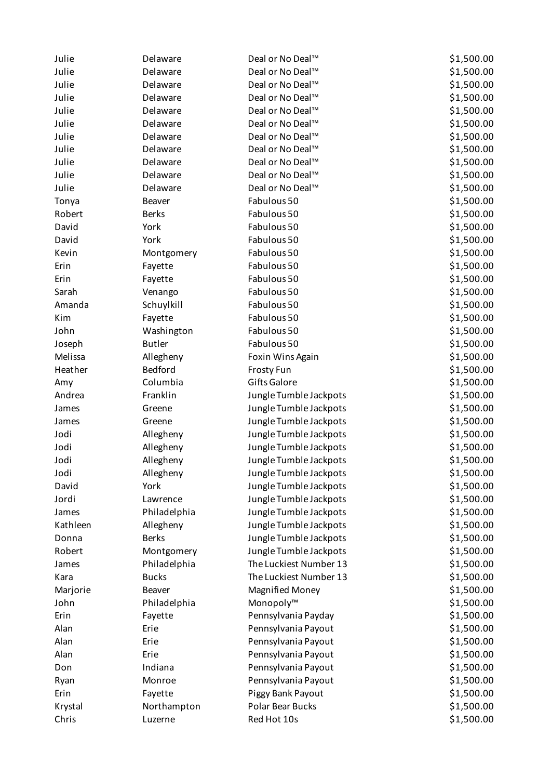| Julie    | Delaware      | Deal or No Deal™             | \$1,500.00 |
|----------|---------------|------------------------------|------------|
| Julie    | Delaware      | Deal or No Deal <sup>™</sup> | \$1,500.00 |
| Julie    | Delaware      | Deal or No Deal <sup>™</sup> | \$1,500.00 |
| Julie    | Delaware      | Deal or No Deal <sup>™</sup> | \$1,500.00 |
| Julie    | Delaware      | Deal or No Deal <sup>™</sup> | \$1,500.00 |
| Julie    | Delaware      | Deal or No Deal™             | \$1,500.00 |
| Julie    | Delaware      | Deal or No Deal <sup>™</sup> | \$1,500.00 |
| Julie    | Delaware      | Deal or No Deal <sup>™</sup> | \$1,500.00 |
| Julie    | Delaware      | Deal or No Deal™             | \$1,500.00 |
| Julie    | Delaware      | Deal or No Deal™             | \$1,500.00 |
| Julie    | Delaware      | Deal or No Deal™             | \$1,500.00 |
| Tonya    | Beaver        | Fabulous 50                  | \$1,500.00 |
| Robert   | <b>Berks</b>  | Fabulous 50                  | \$1,500.00 |
| David    | York          | Fabulous 50                  | \$1,500.00 |
| David    | York          | Fabulous 50                  | \$1,500.00 |
| Kevin    | Montgomery    | Fabulous 50                  | \$1,500.00 |
| Erin     | Fayette       | Fabulous 50                  | \$1,500.00 |
| Erin     | Fayette       | Fabulous 50                  | \$1,500.00 |
| Sarah    | Venango       | Fabulous 50                  | \$1,500.00 |
| Amanda   | Schuylkill    | Fabulous 50                  | \$1,500.00 |
| Kim      | Fayette       | Fabulous 50                  | \$1,500.00 |
| John     | Washington    | Fabulous 50                  | \$1,500.00 |
| Joseph   | <b>Butler</b> | Fabulous 50                  | \$1,500.00 |
| Melissa  | Allegheny     | Foxin Wins Again             | \$1,500.00 |
| Heather  | Bedford       | <b>Frosty Fun</b>            | \$1,500.00 |
| Amy      | Columbia      | <b>Gifts Galore</b>          | \$1,500.00 |
| Andrea   | Franklin      | Jungle Tumble Jackpots       | \$1,500.00 |
| James    | Greene        | Jungle Tumble Jackpots       | \$1,500.00 |
| James    | Greene        | Jungle Tumble Jackpots       | \$1,500.00 |
| Jodi     | Allegheny     | Jungle Tumble Jackpots       | \$1,500.00 |
| Jodi     | Allegheny     | Jungle Tumble Jackpots       | \$1,500.00 |
| Jodi     | Allegheny     | Jungle Tumble Jackpots       | \$1,500.00 |
| Jodi     | Allegheny     | Jungle Tumble Jackpots       | \$1,500.00 |
| David    | York          | Jungle Tumble Jackpots       | \$1,500.00 |
| Jordi    | Lawrence      | Jungle Tumble Jackpots       | \$1,500.00 |
| James    | Philadelphia  | Jungle Tumble Jackpots       | \$1,500.00 |
| Kathleen | Allegheny     | Jungle Tumble Jackpots       | \$1,500.00 |
| Donna    | <b>Berks</b>  | Jungle Tumble Jackpots       | \$1,500.00 |
| Robert   | Montgomery    | Jungle Tumble Jackpots       | \$1,500.00 |
| James    | Philadelphia  | The Luckiest Number 13       | \$1,500.00 |
| Kara     | <b>Bucks</b>  | The Luckiest Number 13       | \$1,500.00 |
| Marjorie | Beaver        | <b>Magnified Money</b>       | \$1,500.00 |
| John     | Philadelphia  | Monopoly™                    | \$1,500.00 |
| Erin     | Fayette       | Pennsylvania Payday          | \$1,500.00 |
| Alan     | Erie          | Pennsylvania Payout          | \$1,500.00 |
| Alan     | Erie          | Pennsylvania Payout          | \$1,500.00 |
| Alan     | Erie          | Pennsylvania Payout          | \$1,500.00 |
| Don      | Indiana       | Pennsylvania Payout          | \$1,500.00 |
| Ryan     | Monroe        | Pennsylvania Payout          | \$1,500.00 |
| Erin     | Fayette       | Piggy Bank Payout            | \$1,500.00 |
| Krystal  | Northampton   | Polar Bear Bucks             | \$1,500.00 |
| Chris    | Luzerne       | Red Hot 10s                  | \$1,500.00 |
|          |               |                              |            |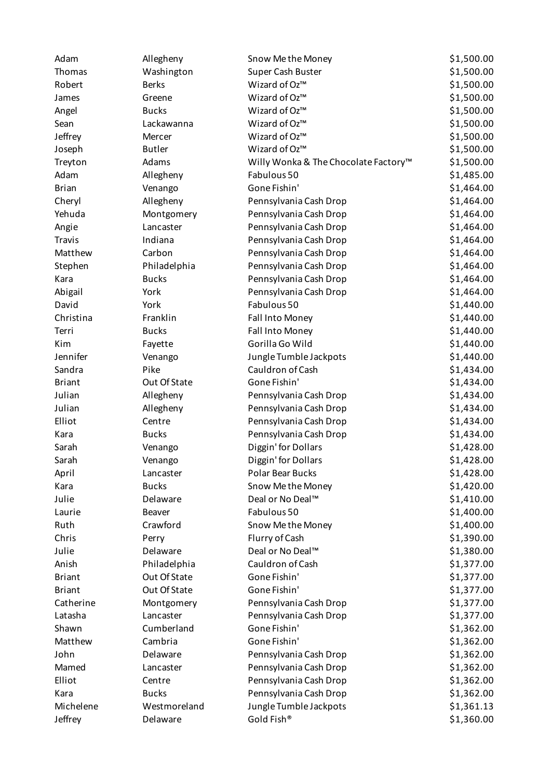| Adam          | Allegheny     | Snow Me the Money                    | \$1,500.00 |
|---------------|---------------|--------------------------------------|------------|
| Thomas        | Washington    | Super Cash Buster                    | \$1,500.00 |
| Robert        | <b>Berks</b>  | Wizard of Oz™                        | \$1,500.00 |
| James         | Greene        | Wizard of Oz™                        | \$1,500.00 |
| Angel         | <b>Bucks</b>  | Wizard of Oz™                        | \$1,500.00 |
| Sean          | Lackawanna    | Wizard of Oz™                        | \$1,500.00 |
| Jeffrey       | Mercer        | Wizard of Oz™                        | \$1,500.00 |
| Joseph        | <b>Butler</b> | Wizard of Oz™                        | \$1,500.00 |
| Treyton       | Adams         | Willy Wonka & The Chocolate Factory™ | \$1,500.00 |
| Adam          | Allegheny     | Fabulous 50                          | \$1,485.00 |
| <b>Brian</b>  | Venango       | Gone Fishin'                         | \$1,464.00 |
| Cheryl        | Allegheny     | Pennsylvania Cash Drop               | \$1,464.00 |
| Yehuda        | Montgomery    | Pennsylvania Cash Drop               | \$1,464.00 |
| Angie         | Lancaster     | Pennsylvania Cash Drop               | \$1,464.00 |
| <b>Travis</b> | Indiana       | Pennsylvania Cash Drop               | \$1,464.00 |
| Matthew       | Carbon        | Pennsylvania Cash Drop               | \$1,464.00 |
| Stephen       | Philadelphia  | Pennsylvania Cash Drop               | \$1,464.00 |
| Kara          | <b>Bucks</b>  | Pennsylvania Cash Drop               | \$1,464.00 |
| Abigail       | York          | Pennsylvania Cash Drop               | \$1,464.00 |
| David         | York          | Fabulous 50                          | \$1,440.00 |
| Christina     | Franklin      | Fall Into Money                      | \$1,440.00 |
| Terri         | <b>Bucks</b>  | Fall Into Money                      | \$1,440.00 |
| Kim           | Fayette       | Gorilla Go Wild                      | \$1,440.00 |
| Jennifer      | Venango       | Jungle Tumble Jackpots               | \$1,440.00 |
| Sandra        | Pike          | Cauldron of Cash                     | \$1,434.00 |
| <b>Briant</b> | Out Of State  | Gone Fishin'                         | \$1,434.00 |
| Julian        | Allegheny     | Pennsylvania Cash Drop               | \$1,434.00 |
| Julian        | Allegheny     | Pennsylvania Cash Drop               | \$1,434.00 |
| Elliot        | Centre        | Pennsylvania Cash Drop               | \$1,434.00 |
| Kara          | <b>Bucks</b>  | Pennsylvania Cash Drop               | \$1,434.00 |
| Sarah         | Venango       | Diggin' for Dollars                  | \$1,428.00 |
| Sarah         | Venango       | Diggin' for Dollars                  | \$1,428.00 |
| April         | Lancaster     | Polar Bear Bucks                     | \$1,428.00 |
| Kara          | <b>Bucks</b>  | Snow Me the Money                    | \$1,420.00 |
| Julie         | Delaware      | Deal or No Deal™                     | \$1,410.00 |
| Laurie        | Beaver        | Fabulous 50                          | \$1,400.00 |
| Ruth          | Crawford      | Snow Me the Money                    | \$1,400.00 |
| Chris         | Perry         | Flurry of Cash                       | \$1,390.00 |
| Julie         | Delaware      | Deal or No Deal™                     | \$1,380.00 |
| Anish         | Philadelphia  | Cauldron of Cash                     | \$1,377.00 |
| <b>Briant</b> | Out Of State  | Gone Fishin'                         | \$1,377.00 |
| <b>Briant</b> | Out Of State  | Gone Fishin'                         | \$1,377.00 |
| Catherine     | Montgomery    | Pennsylvania Cash Drop               | \$1,377.00 |
| Latasha       | Lancaster     | Pennsylvania Cash Drop               | \$1,377.00 |
| Shawn         | Cumberland    | Gone Fishin'                         | \$1,362.00 |
| Matthew       | Cambria       | Gone Fishin'                         | \$1,362.00 |
| John          | Delaware      | Pennsylvania Cash Drop               | \$1,362.00 |
| Mamed         | Lancaster     | Pennsylvania Cash Drop               | \$1,362.00 |
| Elliot        | Centre        | Pennsylvania Cash Drop               | \$1,362.00 |
| Kara          | <b>Bucks</b>  | Pennsylvania Cash Drop               | \$1,362.00 |
| Michelene     | Westmoreland  | Jungle Tumble Jackpots               | \$1,361.13 |
| Jeffrey       | Delaware      | Gold Fish®                           | \$1,360.00 |
|               |               |                                      |            |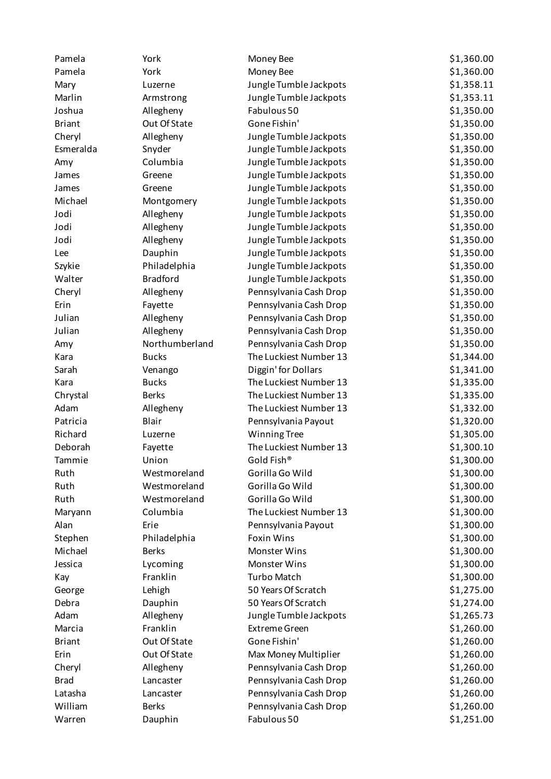| Pamela        | York            | Money Bee              | \$1,360.00 |
|---------------|-----------------|------------------------|------------|
| Pamela        | York            | Money Bee              | \$1,360.00 |
| Mary          | Luzerne         | Jungle Tumble Jackpots | \$1,358.11 |
| Marlin        | Armstrong       | Jungle Tumble Jackpots | \$1,353.11 |
| Joshua        | Allegheny       | Fabulous 50            | \$1,350.00 |
| <b>Briant</b> | Out Of State    | Gone Fishin'           | \$1,350.00 |
| Cheryl        | Allegheny       | Jungle Tumble Jackpots | \$1,350.00 |
| Esmeralda     | Snyder          | Jungle Tumble Jackpots | \$1,350.00 |
| Amy           | Columbia        | Jungle Tumble Jackpots | \$1,350.00 |
| James         | Greene          | Jungle Tumble Jackpots | \$1,350.00 |
| James         | Greene          | Jungle Tumble Jackpots | \$1,350.00 |
| Michael       | Montgomery      | Jungle Tumble Jackpots | \$1,350.00 |
| Jodi          | Allegheny       | Jungle Tumble Jackpots | \$1,350.00 |
| Jodi          | Allegheny       | Jungle Tumble Jackpots | \$1,350.00 |
| Jodi          | Allegheny       | Jungle Tumble Jackpots | \$1,350.00 |
| Lee           | Dauphin         | Jungle Tumble Jackpots | \$1,350.00 |
| Szykie        | Philadelphia    | Jungle Tumble Jackpots | \$1,350.00 |
| Walter        | <b>Bradford</b> | Jungle Tumble Jackpots | \$1,350.00 |
| Cheryl        | Allegheny       | Pennsylvania Cash Drop | \$1,350.00 |
| Erin          | Fayette         | Pennsylvania Cash Drop | \$1,350.00 |
| Julian        | Allegheny       | Pennsylvania Cash Drop | \$1,350.00 |
| Julian        | Allegheny       | Pennsylvania Cash Drop | \$1,350.00 |
| Amy           | Northumberland  | Pennsylvania Cash Drop | \$1,350.00 |
| Kara          | <b>Bucks</b>    | The Luckiest Number 13 | \$1,344.00 |
| Sarah         | Venango         | Diggin' for Dollars    | \$1,341.00 |
| Kara          | <b>Bucks</b>    | The Luckiest Number 13 | \$1,335.00 |
| Chrystal      | <b>Berks</b>    | The Luckiest Number 13 | \$1,335.00 |
| Adam          | Allegheny       | The Luckiest Number 13 | \$1,332.00 |
| Patricia      | Blair           | Pennsylvania Payout    | \$1,320.00 |
| Richard       | Luzerne         | <b>Winning Tree</b>    | \$1,305.00 |
| Deborah       | Fayette         | The Luckiest Number 13 | \$1,300.10 |
| Tammie        | Union           | Gold Fish®             | \$1,300.00 |
| Ruth          | Westmoreland    | Gorilla Go Wild        | \$1,300.00 |
| Ruth          | Westmoreland    | Gorilla Go Wild        | \$1,300.00 |
| Ruth          | Westmoreland    | Gorilla Go Wild        | \$1,300.00 |
| Maryann       | Columbia        | The Luckiest Number 13 | \$1,300.00 |
| Alan          | Erie            | Pennsylvania Payout    | \$1,300.00 |
| Stephen       | Philadelphia    | <b>Foxin Wins</b>      | \$1,300.00 |
| Michael       | <b>Berks</b>    | Monster Wins           | \$1,300.00 |
| Jessica       | Lycoming        | Monster Wins           | \$1,300.00 |
| Kay           | Franklin        | <b>Turbo Match</b>     | \$1,300.00 |
| George        | Lehigh          | 50 Years Of Scratch    | \$1,275.00 |
| Debra         | Dauphin         | 50 Years Of Scratch    | \$1,274.00 |
| Adam          | Allegheny       | Jungle Tumble Jackpots | \$1,265.73 |
| Marcia        | Franklin        | <b>Extreme Green</b>   | \$1,260.00 |
| <b>Briant</b> | Out Of State    | Gone Fishin'           | \$1,260.00 |
| Erin          | Out Of State    | Max Money Multiplier   | \$1,260.00 |
| Cheryl        | Allegheny       | Pennsylvania Cash Drop | \$1,260.00 |
| <b>Brad</b>   | Lancaster       | Pennsylvania Cash Drop | \$1,260.00 |
| Latasha       | Lancaster       | Pennsylvania Cash Drop | \$1,260.00 |
| William       | <b>Berks</b>    | Pennsylvania Cash Drop | \$1,260.00 |
| Warren        | Dauphin         | Fabulous 50            | \$1,251.00 |
|               |                 |                        |            |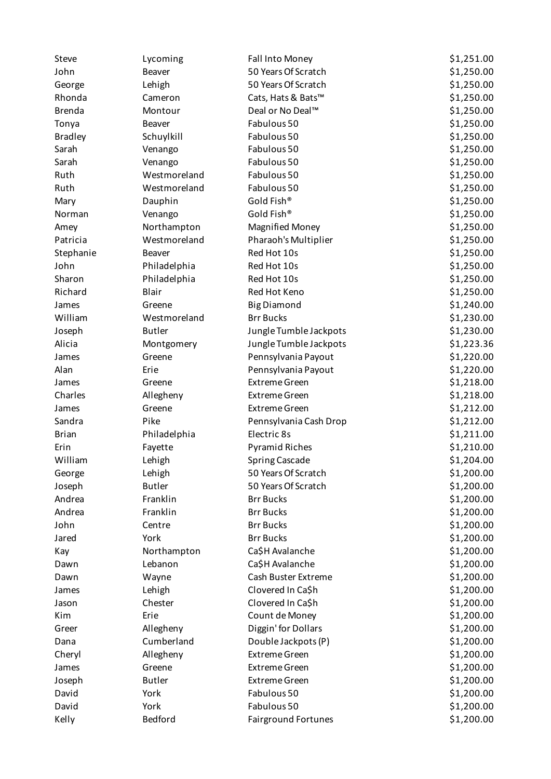| Steve          | Lycoming            | Fall Into Money                     | \$1,251.00 |
|----------------|---------------------|-------------------------------------|------------|
| John           | Beaver              | 50 Years Of Scratch                 | \$1,250.00 |
| George         | Lehigh              | 50 Years Of Scratch                 | \$1,250.00 |
| Rhonda         | Cameron             | Cats, Hats & Bats™                  | \$1,250.00 |
| <b>Brenda</b>  | Montour             | Deal or No Deal™                    | \$1,250.00 |
| Tonya          | <b>Beaver</b>       | Fabulous 50                         | \$1,250.00 |
| <b>Bradley</b> | Schuylkill          | Fabulous 50                         | \$1,250.00 |
| Sarah          | Venango             | Fabulous 50                         | \$1,250.00 |
| Sarah          | Venango             | Fabulous 50                         | \$1,250.00 |
| Ruth           | Westmoreland        | Fabulous 50                         | \$1,250.00 |
| Ruth           | Westmoreland        | Fabulous 50                         | \$1,250.00 |
| Mary           | Dauphin             | Gold Fish®                          | \$1,250.00 |
| Norman         | Venango             | Gold Fish®                          | \$1,250.00 |
| Amey           | Northampton         | <b>Magnified Money</b>              | \$1,250.00 |
| Patricia       | Westmoreland        | Pharaoh's Multiplier                | \$1,250.00 |
| Stephanie      | Beaver              | Red Hot 10s                         | \$1,250.00 |
| John           | Philadelphia        | Red Hot 10s                         | \$1,250.00 |
| Sharon         | Philadelphia        | Red Hot 10s                         | \$1,250.00 |
| Richard        | Blair               | Red Hot Keno                        | \$1,250.00 |
| James          | Greene              | <b>Big Diamond</b>                  | \$1,240.00 |
| William        | Westmoreland        | <b>Brr Bucks</b>                    | \$1,230.00 |
| Joseph         | <b>Butler</b>       | Jungle Tumble Jackpots              | \$1,230.00 |
| Alicia         | Montgomery          | Jungle Tumble Jackpots              | \$1,223.36 |
| James          | Greene              | Pennsylvania Payout                 | \$1,220.00 |
| Alan           | Erie                | Pennsylvania Payout                 | \$1,220.00 |
| James          | Greene              | <b>Extreme Green</b>                | \$1,218.00 |
| Charles        | Allegheny           | <b>Extreme Green</b>                | \$1,218.00 |
| James          | Greene              | <b>Extreme Green</b>                | \$1,212.00 |
| Sandra         | Pike                | Pennsylvania Cash Drop              | \$1,212.00 |
| <b>Brian</b>   | Philadelphia        | Electric 8s                         | \$1,211.00 |
| Erin           | Fayette             | <b>Pyramid Riches</b>               | \$1,210.00 |
| William        | Lehigh              | <b>Spring Cascade</b>               | \$1,204.00 |
| George         | Lehigh              | 50 Years Of Scratch                 | \$1,200.00 |
| Joseph         | <b>Butler</b>       | 50 Years Of Scratch                 | \$1,200.00 |
| Andrea         | Franklin            | <b>Brr Bucks</b>                    | \$1,200.00 |
| Andrea         | Franklin            | <b>Brr Bucks</b>                    | \$1,200.00 |
| John           | Centre              | <b>Brr Bucks</b>                    | \$1,200.00 |
| Jared          | York                | <b>Brr Bucks</b>                    | \$1,200.00 |
| Kay            | Northampton         | Ca\$H Avalanche                     | \$1,200.00 |
| Dawn           | Lebanon             | Ca\$H Avalanche                     | \$1,200.00 |
| Dawn           | Wayne               | Cash Buster Extreme                 | \$1,200.00 |
| James          | Lehigh              | Clovered In Ca\$h                   | \$1,200.00 |
| Jason          | Chester             | Clovered In Ca\$h                   | \$1,200.00 |
| Kim            | Erie                | Count de Money                      | \$1,200.00 |
| Greer          | Allegheny           | Diggin' for Dollars                 | \$1,200.00 |
| Dana           | Cumberland          |                                     | \$1,200.00 |
|                |                     | Double Jackpots (P)                 |            |
| Cheryl         | Allegheny<br>Greene | <b>Extreme Green</b>                | \$1,200.00 |
| James          |                     | <b>Extreme Green</b>                | \$1,200.00 |
| Joseph         | <b>Butler</b>       | <b>Extreme Green</b><br>Fabulous 50 | \$1,200.00 |
| David          | York                |                                     | \$1,200.00 |
| David          | York                | Fabulous 50                         | \$1,200.00 |
| Kelly          | Bedford             | Fairground Fortunes                 | \$1,200.00 |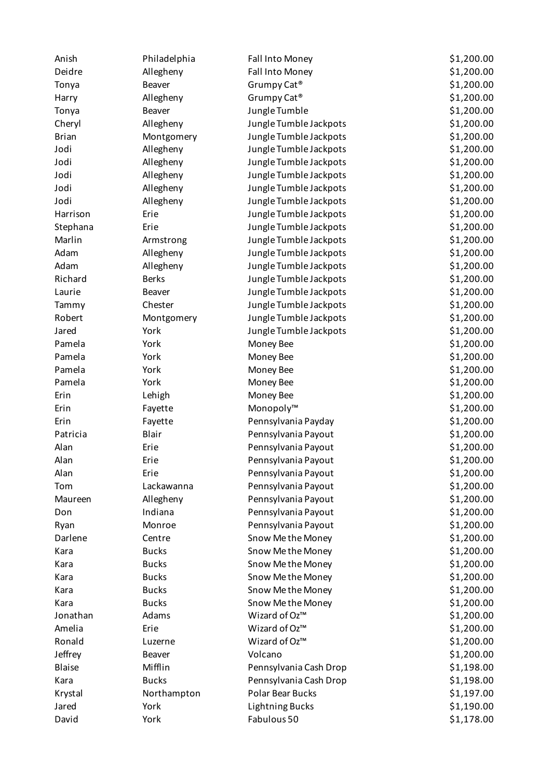| Anish         | Philadelphia  | Fall Into Money         | \$1,200.00 |
|---------------|---------------|-------------------------|------------|
| Deidre        | Allegheny     | Fall Into Money         | \$1,200.00 |
| Tonya         | Beaver        | Grumpy Cat <sup>®</sup> | \$1,200.00 |
| Harry         | Allegheny     | Grumpy Cat <sup>®</sup> | \$1,200.00 |
| Tonya         | Beaver        | Jungle Tumble           | \$1,200.00 |
| Cheryl        | Allegheny     | Jungle Tumble Jackpots  | \$1,200.00 |
| <b>Brian</b>  | Montgomery    | Jungle Tumble Jackpots  | \$1,200.00 |
| Jodi          | Allegheny     | Jungle Tumble Jackpots  | \$1,200.00 |
| Jodi          | Allegheny     | Jungle Tumble Jackpots  | \$1,200.00 |
| Jodi          | Allegheny     | Jungle Tumble Jackpots  | \$1,200.00 |
| Jodi          | Allegheny     | Jungle Tumble Jackpots  | \$1,200.00 |
| Jodi          | Allegheny     | Jungle Tumble Jackpots  | \$1,200.00 |
| Harrison      | Erie          | Jungle Tumble Jackpots  | \$1,200.00 |
| Stephana      | Erie          | Jungle Tumble Jackpots  | \$1,200.00 |
| Marlin        | Armstrong     | Jungle Tumble Jackpots  | \$1,200.00 |
| Adam          | Allegheny     | Jungle Tumble Jackpots  | \$1,200.00 |
| Adam          | Allegheny     | Jungle Tumble Jackpots  | \$1,200.00 |
| Richard       | <b>Berks</b>  | Jungle Tumble Jackpots  | \$1,200.00 |
| Laurie        | <b>Beaver</b> | Jungle Tumble Jackpots  | \$1,200.00 |
| Tammy         | Chester       | Jungle Tumble Jackpots  | \$1,200.00 |
| Robert        | Montgomery    | Jungle Tumble Jackpots  | \$1,200.00 |
| Jared         | York          | Jungle Tumble Jackpots  | \$1,200.00 |
| Pamela        | York          | Money Bee               | \$1,200.00 |
| Pamela        | York          | Money Bee               | \$1,200.00 |
| Pamela        | York          | Money Bee               | \$1,200.00 |
| Pamela        | York          | Money Bee               | \$1,200.00 |
| Erin          | Lehigh        | Money Bee               | \$1,200.00 |
| Erin          | Fayette       | Monopoly™               | \$1,200.00 |
| Erin          | Fayette       | Pennsylvania Payday     | \$1,200.00 |
| Patricia      | Blair         | Pennsylvania Payout     | \$1,200.00 |
| Alan          | Erie          | Pennsylvania Payout     | \$1,200.00 |
| Alan          | Erie          | Pennsylvania Payout     | \$1,200.00 |
| Alan          | Erie          | Pennsylvania Payout     | \$1,200.00 |
| Tom           | Lackawanna    | Pennsylvania Payout     | \$1,200.00 |
| Maureen       | Allegheny     | Pennsylvania Payout     | \$1,200.00 |
| Don           | Indiana       | Pennsylvania Payout     | \$1,200.00 |
| Ryan          | Monroe        | Pennsylvania Payout     | \$1,200.00 |
| Darlene       | Centre        | Snow Me the Money       | \$1,200.00 |
| Kara          | <b>Bucks</b>  | Snow Me the Money       | \$1,200.00 |
| Kara          | <b>Bucks</b>  | Snow Me the Money       | \$1,200.00 |
| Kara          | <b>Bucks</b>  | Snow Me the Money       | \$1,200.00 |
| Kara          | <b>Bucks</b>  | Snow Me the Money       | \$1,200.00 |
| Kara          | <b>Bucks</b>  | Snow Me the Money       | \$1,200.00 |
| Jonathan      | Adams         | Wizard of Oz™           | \$1,200.00 |
| Amelia        | Erie          | Wizard of Oz™           | \$1,200.00 |
| Ronald        | Luzerne       | Wizard of Oz™           | \$1,200.00 |
| Jeffrey       | Beaver        | Volcano                 | \$1,200.00 |
| <b>Blaise</b> | Mifflin       | Pennsylvania Cash Drop  | \$1,198.00 |
| Kara          | <b>Bucks</b>  | Pennsylvania Cash Drop  | \$1,198.00 |
| Krystal       | Northampton   | <b>Polar Bear Bucks</b> | \$1,197.00 |
| Jared         | York          | <b>Lightning Bucks</b>  | \$1,190.00 |
| David         | York          | Fabulous 50             | \$1,178.00 |
|               |               |                         |            |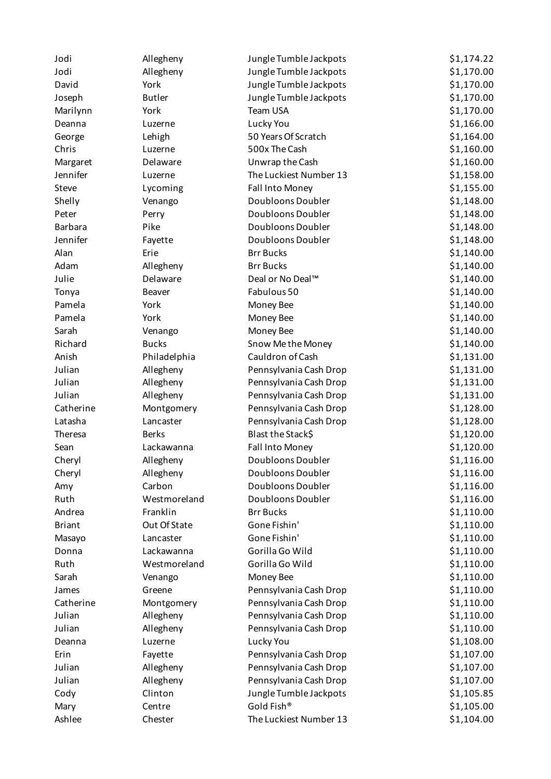| Jodi           | Allegheny     | Jungle Tumble Jackpots | \$1,174.22 |
|----------------|---------------|------------------------|------------|
| Jodi           | Allegheny     | Jungle Tumble Jackpots | \$1,170.00 |
| David          | York          | Jungle Tumble Jackpots | \$1,170.00 |
| Joseph         | <b>Butler</b> | Jungle Tumble Jackpots | \$1,170.00 |
| Marilynn       | York          | Team USA               | \$1,170.00 |
| Deanna         | Luzerne       | Lucky You              | \$1,166.00 |
| George         | Lehigh        | 50 Years Of Scratch    | \$1,164.00 |
| Chris          | Luzerne       | 500x The Cash          | \$1,160.00 |
| Margaret       | Delaware      | Unwrap the Cash        | \$1,160.00 |
| Jennifer       | Luzerne       | The Luckiest Number 13 | \$1,158.00 |
| Steve          | Lycoming      | Fall Into Money        | \$1,155.00 |
| Shelly         | Venango       | Doubloons Doubler      | \$1,148.00 |
| Peter          | Perry         | Doubloons Doubler      | \$1,148.00 |
| <b>Barbara</b> | Pike          | Doubloons Doubler      | \$1,148.00 |
| Jennifer       | Fayette       | Doubloons Doubler      | \$1,148.00 |
| Alan           | Erie          | <b>Brr Bucks</b>       | \$1,140.00 |
| Adam           | Allegheny     | <b>Brr Bucks</b>       | \$1,140.00 |
| Julie          | Delaware      | Deal or No Deal™       | \$1,140.00 |
| Tonya          | <b>Beaver</b> | Fabulous 50            | \$1,140.00 |
| Pamela         | York          | Money Bee              | \$1,140.00 |
| Pamela         | York          | Money Bee              | \$1,140.00 |
| Sarah          | Venango       | Money Bee              | \$1,140.00 |
| Richard        | <b>Bucks</b>  | Snow Me the Money      | \$1,140.00 |
| Anish          | Philadelphia  | Cauldron of Cash       | \$1,131.00 |
| Julian         | Allegheny     | Pennsylvania Cash Drop | \$1,131.00 |
| Julian         | Allegheny     | Pennsylvania Cash Drop | \$1,131.00 |
| Julian         | Allegheny     | Pennsylvania Cash Drop | \$1,131.00 |
| Catherine      | Montgomery    | Pennsylvania Cash Drop | \$1,128.00 |
| Latasha        | Lancaster     | Pennsylvania Cash Drop | \$1,128.00 |
| Theresa        | <b>Berks</b>  | Blast the Stack\$      | \$1,120.00 |
| Sean           | Lackawanna    | Fall Into Money        | \$1,120.00 |
| Cheryl         | Allegheny     | Doubloons Doubler      | \$1,116.00 |
| Cheryl         | Allegheny     | Doubloons Doubler      | \$1,116.00 |
| Amy            | Carbon        | Doubloons Doubler      | \$1,116.00 |
| Ruth           | Westmoreland  | Doubloons Doubler      | \$1,116.00 |
| Andrea         | Franklin      | <b>Brr Bucks</b>       | \$1,110.00 |
| <b>Briant</b>  | Out Of State  | Gone Fishin'           | \$1,110.00 |
| Masayo         | Lancaster     | Gone Fishin'           | \$1,110.00 |
| Donna          | Lackawanna    | Gorilla Go Wild        | \$1,110.00 |
| Ruth           | Westmoreland  | Gorilla Go Wild        | \$1,110.00 |
| Sarah          | Venango       | Money Bee              | \$1,110.00 |
| James          | Greene        | Pennsylvania Cash Drop | \$1,110.00 |
| Catherine      | Montgomery    | Pennsylvania Cash Drop | \$1,110.00 |
| Julian         | Allegheny     | Pennsylvania Cash Drop | \$1,110.00 |
| Julian         | Allegheny     | Pennsylvania Cash Drop | \$1,110.00 |
| Deanna         | Luzerne       | Lucky You              | \$1,108.00 |
| Erin           | Fayette       | Pennsylvania Cash Drop | \$1,107.00 |
| Julian         | Allegheny     | Pennsylvania Cash Drop | \$1,107.00 |
| Julian         | Allegheny     | Pennsylvania Cash Drop | \$1,107.00 |
| Cody           | Clinton       | Jungle Tumble Jackpots | \$1,105.85 |
| Mary           | Centre        | Gold Fish®             | \$1,105.00 |
| Ashlee         | Chester       | The Luckiest Number 13 | \$1,104.00 |
|                |               |                        |            |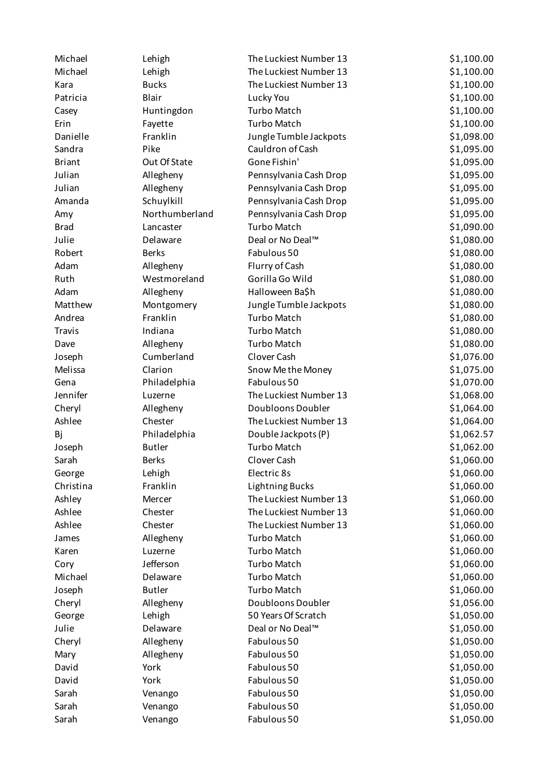| Michael       | Lehigh         | The Luckiest Number 13 | \$1,100.00 |
|---------------|----------------|------------------------|------------|
| Michael       | Lehigh         | The Luckiest Number 13 | \$1,100.00 |
| Kara          | <b>Bucks</b>   | The Luckiest Number 13 | \$1,100.00 |
| Patricia      | Blair          | Lucky You              | \$1,100.00 |
| Casey         | Huntingdon     | <b>Turbo Match</b>     | \$1,100.00 |
| Erin          | Fayette        | <b>Turbo Match</b>     | \$1,100.00 |
| Danielle      | Franklin       | Jungle Tumble Jackpots | \$1,098.00 |
| Sandra        | Pike           | Cauldron of Cash       | \$1,095.00 |
| <b>Briant</b> | Out Of State   | Gone Fishin'           | \$1,095.00 |
| Julian        | Allegheny      | Pennsylvania Cash Drop | \$1,095.00 |
| Julian        | Allegheny      | Pennsylvania Cash Drop | \$1,095.00 |
| Amanda        | Schuylkill     | Pennsylvania Cash Drop | \$1,095.00 |
| Amy           | Northumberland | Pennsylvania Cash Drop | \$1,095.00 |
| <b>Brad</b>   | Lancaster      | <b>Turbo Match</b>     | \$1,090.00 |
| Julie         | Delaware       | Deal or No Deal™       | \$1,080.00 |
| Robert        | <b>Berks</b>   | Fabulous 50            | \$1,080.00 |
| Adam          | Allegheny      | Flurry of Cash         | \$1,080.00 |
| Ruth          | Westmoreland   | Gorilla Go Wild        | \$1,080.00 |
| Adam          | Allegheny      | Halloween Ba\$h        | \$1,080.00 |
| Matthew       | Montgomery     | Jungle Tumble Jackpots | \$1,080.00 |
| Andrea        | Franklin       | <b>Turbo Match</b>     | \$1,080.00 |
| <b>Travis</b> | Indiana        | <b>Turbo Match</b>     | \$1,080.00 |
| Dave          | Allegheny      | <b>Turbo Match</b>     | \$1,080.00 |
| Joseph        | Cumberland     | Clover Cash            | \$1,076.00 |
| Melissa       | Clarion        | Snow Me the Money      | \$1,075.00 |
| Gena          | Philadelphia   | Fabulous 50            | \$1,070.00 |
| Jennifer      | Luzerne        | The Luckiest Number 13 | \$1,068.00 |
| Cheryl        | Allegheny      | Doubloons Doubler      | \$1,064.00 |
| Ashlee        | Chester        | The Luckiest Number 13 | \$1,064.00 |
| Bj            | Philadelphia   | Double Jackpots (P)    | \$1,062.57 |
| Joseph        | <b>Butler</b>  | <b>Turbo Match</b>     | \$1,062.00 |
| Sarah         | <b>Berks</b>   | Clover Cash            | \$1,060.00 |
| George        | Lehigh         | Electric 8s            | \$1,060.00 |
| Christina     | Franklin       | <b>Lightning Bucks</b> | \$1,060.00 |
| Ashley        | Mercer         | The Luckiest Number 13 | \$1,060.00 |
| Ashlee        | Chester        | The Luckiest Number 13 | \$1,060.00 |
| Ashlee        | Chester        | The Luckiest Number 13 | \$1,060.00 |
| James         | Allegheny      | <b>Turbo Match</b>     | \$1,060.00 |
| Karen         | Luzerne        | <b>Turbo Match</b>     | \$1,060.00 |
| Cory          | Jefferson      | <b>Turbo Match</b>     | \$1,060.00 |
| Michael       | Delaware       | <b>Turbo Match</b>     | \$1,060.00 |
| Joseph        | <b>Butler</b>  | <b>Turbo Match</b>     | \$1,060.00 |
| Cheryl        | Allegheny      | Doubloons Doubler      | \$1,056.00 |
| George        | Lehigh         | 50 Years Of Scratch    | \$1,050.00 |
| Julie         | Delaware       | Deal or No Deal™       | \$1,050.00 |
| Cheryl        | Allegheny      | Fabulous 50            | \$1,050.00 |
| Mary          | Allegheny      | Fabulous 50            | \$1,050.00 |
| David         | York           | Fabulous 50            | \$1,050.00 |
| David         | York           | Fabulous 50            | \$1,050.00 |
| Sarah         | Venango        | Fabulous 50            | \$1,050.00 |
| Sarah         | Venango        | Fabulous 50            | \$1,050.00 |
| Sarah         | Venango        | Fabulous 50            | \$1,050.00 |
|               |                |                        |            |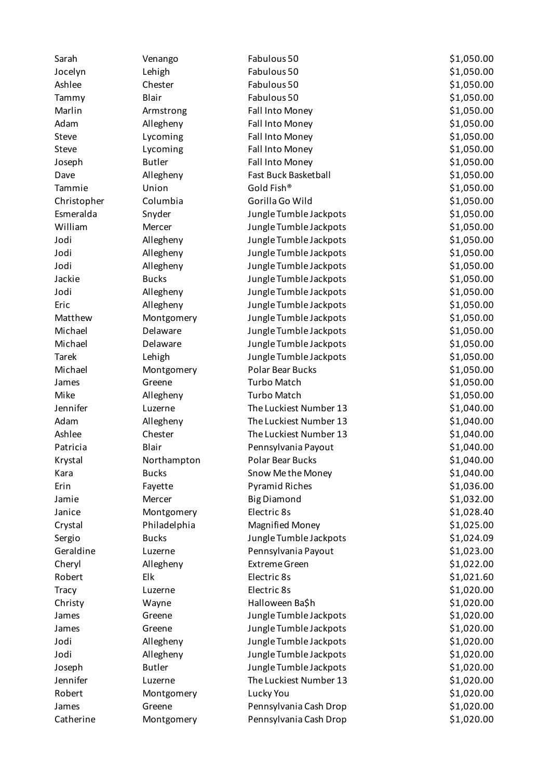| Sarah        | Venango       | Fabulous 50                 | \$1,050.00 |
|--------------|---------------|-----------------------------|------------|
| Jocelyn      | Lehigh        | Fabulous 50                 | \$1,050.00 |
| Ashlee       | Chester       | Fabulous 50                 | \$1,050.00 |
| Tammy        | Blair         | Fabulous 50                 | \$1,050.00 |
| Marlin       | Armstrong     | Fall Into Money             | \$1,050.00 |
| Adam         | Allegheny     | Fall Into Money             | \$1,050.00 |
| Steve        | Lycoming      | Fall Into Money             | \$1,050.00 |
| Steve        | Lycoming      | Fall Into Money             | \$1,050.00 |
| Joseph       | <b>Butler</b> | Fall Into Money             | \$1,050.00 |
| Dave         | Allegheny     | <b>Fast Buck Basketball</b> | \$1,050.00 |
| Tammie       | Union         | Gold Fish®                  | \$1,050.00 |
| Christopher  | Columbia      | Gorilla Go Wild             | \$1,050.00 |
| Esmeralda    | Snyder        | Jungle Tumble Jackpots      | \$1,050.00 |
| William      | Mercer        | Jungle Tumble Jackpots      | \$1,050.00 |
| Jodi         | Allegheny     | Jungle Tumble Jackpots      | \$1,050.00 |
| Jodi         | Allegheny     | Jungle Tumble Jackpots      | \$1,050.00 |
| Jodi         | Allegheny     | Jungle Tumble Jackpots      | \$1,050.00 |
| Jackie       | <b>Bucks</b>  | Jungle Tumble Jackpots      | \$1,050.00 |
| Jodi         | Allegheny     | Jungle Tumble Jackpots      | \$1,050.00 |
| Eric         | Allegheny     | Jungle Tumble Jackpots      | \$1,050.00 |
| Matthew      | Montgomery    | Jungle Tumble Jackpots      | \$1,050.00 |
| Michael      | Delaware      | Jungle Tumble Jackpots      | \$1,050.00 |
| Michael      | Delaware      | Jungle Tumble Jackpots      | \$1,050.00 |
| <b>Tarek</b> | Lehigh        | Jungle Tumble Jackpots      | \$1,050.00 |
| Michael      | Montgomery    | <b>Polar Bear Bucks</b>     | \$1,050.00 |
| James        | Greene        | <b>Turbo Match</b>          | \$1,050.00 |
| Mike         | Allegheny     | <b>Turbo Match</b>          | \$1,050.00 |
| Jennifer     | Luzerne       | The Luckiest Number 13      | \$1,040.00 |
| Adam         | Allegheny     | The Luckiest Number 13      | \$1,040.00 |
| Ashlee       | Chester       | The Luckiest Number 13      | \$1,040.00 |
| Patricia     | Blair         | Pennsylvania Payout         | \$1,040.00 |
| Krystal      | Northampton   | <b>Polar Bear Bucks</b>     | \$1,040.00 |
| Kara         | <b>Bucks</b>  | Snow Me the Money           | \$1,040.00 |
| Erin         | Fayette       | <b>Pyramid Riches</b>       | \$1,036.00 |
| Jamie        | Mercer        | <b>Big Diamond</b>          | \$1,032.00 |
| Janice       | Montgomery    | Electric 8s                 | \$1,028.40 |
| Crystal      | Philadelphia  | Magnified Money             | \$1,025.00 |
| Sergio       | <b>Bucks</b>  | Jungle Tumble Jackpots      | \$1,024.09 |
| Geraldine    | Luzerne       | Pennsylvania Payout         | \$1,023.00 |
| Cheryl       | Allegheny     | <b>Extreme Green</b>        | \$1,022.00 |
| Robert       | Elk           | Electric 8s                 | \$1,021.60 |
| Tracy        | Luzerne       | Electric 8s                 | \$1,020.00 |
| Christy      | Wayne         | Halloween Ba\$h             | \$1,020.00 |
| James        | Greene        | Jungle Tumble Jackpots      | \$1,020.00 |
| James        | Greene        | Jungle Tumble Jackpots      | \$1,020.00 |
| Jodi         | Allegheny     | Jungle Tumble Jackpots      | \$1,020.00 |
| Jodi         | Allegheny     | Jungle Tumble Jackpots      | \$1,020.00 |
| Joseph       | <b>Butler</b> | Jungle Tumble Jackpots      | \$1,020.00 |
| Jennifer     | Luzerne       | The Luckiest Number 13      | \$1,020.00 |
| Robert       | Montgomery    | Lucky You                   | \$1,020.00 |
| James        | Greene        | Pennsylvania Cash Drop      | \$1,020.00 |
| Catherine    | Montgomery    | Pennsylvania Cash Drop      | \$1,020.00 |
|              |               |                             |            |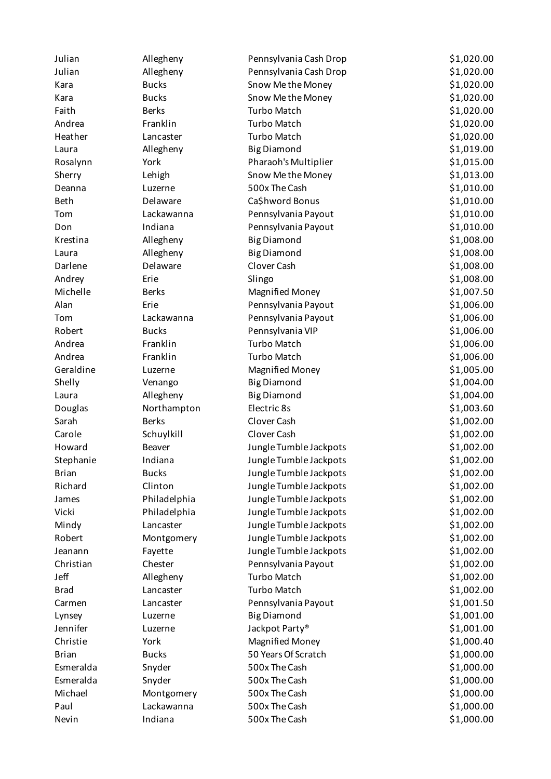| Julian       | Allegheny    | Pennsylvania Cash Drop | \$1,020.00 |
|--------------|--------------|------------------------|------------|
| Julian       | Allegheny    | Pennsylvania Cash Drop | \$1,020.00 |
| Kara         | <b>Bucks</b> | Snow Me the Money      | \$1,020.00 |
| Kara         | <b>Bucks</b> | Snow Me the Money      | \$1,020.00 |
| Faith        | <b>Berks</b> | <b>Turbo Match</b>     | \$1,020.00 |
| Andrea       | Franklin     | <b>Turbo Match</b>     | \$1,020.00 |
| Heather      | Lancaster    | <b>Turbo Match</b>     | \$1,020.00 |
| Laura        | Allegheny    | <b>Big Diamond</b>     | \$1,019.00 |
| Rosalynn     | York         | Pharaoh's Multiplier   | \$1,015.00 |
| Sherry       | Lehigh       | Snow Me the Money      | \$1,013.00 |
| Deanna       | Luzerne      | 500x The Cash          | \$1,010.00 |
| <b>Beth</b>  | Delaware     | Ca\$hword Bonus        | \$1,010.00 |
| Tom          | Lackawanna   | Pennsylvania Payout    | \$1,010.00 |
| Don          | Indiana      | Pennsylvania Payout    | \$1,010.00 |
| Krestina     | Allegheny    | <b>Big Diamond</b>     | \$1,008.00 |
| Laura        | Allegheny    | <b>Big Diamond</b>     | \$1,008.00 |
| Darlene      | Delaware     | Clover Cash            | \$1,008.00 |
| Andrey       | Erie         | Slingo                 | \$1,008.00 |
| Michelle     | <b>Berks</b> | <b>Magnified Money</b> | \$1,007.50 |
| Alan         | Erie         | Pennsylvania Payout    | \$1,006.00 |
| Tom          | Lackawanna   | Pennsylvania Payout    | \$1,006.00 |
| Robert       | <b>Bucks</b> | Pennsylvania VIP       | \$1,006.00 |
| Andrea       | Franklin     | <b>Turbo Match</b>     | \$1,006.00 |
| Andrea       | Franklin     | <b>Turbo Match</b>     | \$1,006.00 |
| Geraldine    | Luzerne      | <b>Magnified Money</b> | \$1,005.00 |
| Shelly       | Venango      | <b>Big Diamond</b>     | \$1,004.00 |
| Laura        | Allegheny    | <b>Big Diamond</b>     | \$1,004.00 |
| Douglas      | Northampton  | Electric 8s            | \$1,003.60 |
| Sarah        | <b>Berks</b> | Clover Cash            | \$1,002.00 |
| Carole       | Schuylkill   | Clover Cash            | \$1,002.00 |
| Howard       | Beaver       | Jungle Tumble Jackpots | \$1,002.00 |
| Stephanie    | Indiana      | Jungle Tumble Jackpots | \$1,002.00 |
| <b>Brian</b> | <b>Bucks</b> | Jungle Tumble Jackpots | \$1,002.00 |
| Richard      | Clinton      | Jungle Tumble Jackpots | \$1,002.00 |
| James        | Philadelphia | Jungle Tumble Jackpots | \$1,002.00 |
| Vicki        | Philadelphia | Jungle Tumble Jackpots | \$1,002.00 |
| Mindy        | Lancaster    | Jungle Tumble Jackpots | \$1,002.00 |
| Robert       | Montgomery   | Jungle Tumble Jackpots | \$1,002.00 |
| Jeanann      | Fayette      | Jungle Tumble Jackpots | \$1,002.00 |
| Christian    | Chester      | Pennsylvania Payout    | \$1,002.00 |
| Jeff         | Allegheny    | <b>Turbo Match</b>     | \$1,002.00 |
| <b>Brad</b>  | Lancaster    | <b>Turbo Match</b>     | \$1,002.00 |
| Carmen       | Lancaster    | Pennsylvania Payout    | \$1,001.50 |
| Lynsey       | Luzerne      | <b>Big Diamond</b>     | \$1,001.00 |
| Jennifer     | Luzerne      | Jackpot Party®         | \$1,001.00 |
| Christie     | York         | <b>Magnified Money</b> | \$1,000.40 |
| <b>Brian</b> | <b>Bucks</b> | 50 Years Of Scratch    | \$1,000.00 |
| Esmeralda    | Snyder       | 500x The Cash          | \$1,000.00 |
| Esmeralda    | Snyder       | 500x The Cash          | \$1,000.00 |
| Michael      | Montgomery   | 500x The Cash          | \$1,000.00 |
| Paul         | Lackawanna   | 500x The Cash          | \$1,000.00 |
| Nevin        | Indiana      | 500x The Cash          | \$1,000.00 |
|              |              |                        |            |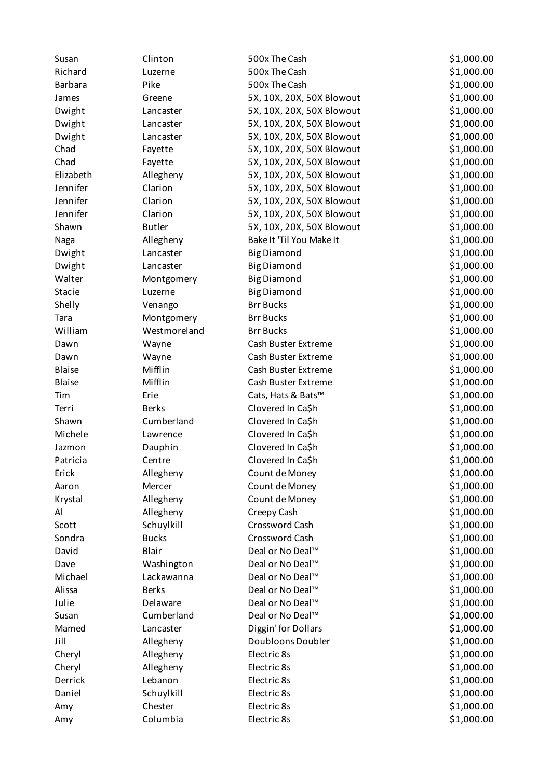| Richard<br>500x The Cash<br>\$1,000.00<br>Luzerne<br>Pike<br>500x The Cash<br>\$1,000.00<br><b>Barbara</b><br>\$1,000.00<br>5X, 10X, 20X, 50X Blowout<br>James<br>Greene<br>\$1,000.00<br>Dwight<br>5X, 10X, 20X, 50X Blowout<br>Lancaster<br>\$1,000.00<br>Dwight<br>5X, 10X, 20X, 50X Blowout<br>Lancaster<br>\$1,000.00<br>Dwight<br>5X, 10X, 20X, 50X Blowout<br>Lancaster<br>Chad<br>\$1,000.00<br>5X, 10X, 20X, 50X Blowout<br>Fayette<br>\$1,000.00<br>Chad<br>5X, 10X, 20X, 50X Blowout<br>Fayette<br>\$1,000.00<br>Elizabeth<br>Allegheny<br>5X, 10X, 20X, 50X Blowout<br>Jennifer<br>Clarion<br>\$1,000.00<br>5X, 10X, 20X, 50X Blowout<br>\$1,000.00<br>Jennifer<br>Clarion<br>5X, 10X, 20X, 50X Blowout<br>Jennifer<br>Clarion<br>\$1,000.00<br>5X, 10X, 20X, 50X Blowout<br>Shawn<br><b>Butler</b><br>\$1,000.00<br>5X, 10X, 20X, 50X Blowout<br>Bake It 'Til You Make It<br>\$1,000.00<br>Allegheny<br>Naga<br>\$1,000.00<br>Dwight<br><b>Big Diamond</b><br>Lancaster<br>\$1,000.00<br>Dwight<br><b>Big Diamond</b><br>Lancaster<br>\$1,000.00<br>Walter<br><b>Big Diamond</b><br>Montgomery<br>\$1,000.00<br>Stacie<br><b>Big Diamond</b><br>Luzerne<br>Shelly<br><b>Brr Bucks</b><br>\$1,000.00<br>Venango<br><b>Brr Bucks</b><br>\$1,000.00<br>Tara<br>Montgomery<br>William<br><b>Brr Bucks</b><br>\$1,000.00<br>Westmoreland<br>\$1,000.00<br>Dawn<br>Cash Buster Extreme<br>Wayne<br>\$1,000.00<br>Wayne<br>Cash Buster Extreme<br>Dawn<br>Mifflin<br>\$1,000.00<br><b>Blaise</b><br>Cash Buster Extreme<br>Mifflin<br><b>Blaise</b><br>\$1,000.00<br>Cash Buster Extreme<br>Erie<br>\$1,000.00<br>Tim<br>Cats, Hats & Bats™<br>Clovered In Ca\$h<br>\$1,000.00<br>Terri<br><b>Berks</b><br>Shawn<br>Cumberland<br>Clovered In Ca\$h<br>\$1,000.00<br>Clovered In Ca\$h<br>\$1,000.00<br>Michele<br>Lawrence<br>Clovered In Ca\$h<br>\$1,000.00<br>Dauphin<br>Jazmon<br>Clovered In Ca\$h<br>\$1,000.00<br>Patricia<br>Centre<br>Erick<br>\$1,000.00<br>Allegheny<br>Count de Money<br>\$1,000.00<br>Mercer<br>Count de Money<br>Aaron<br>Count de Money<br>\$1,000.00<br>Krystal<br>Allegheny<br>\$1,000.00<br>Al<br>Allegheny<br>Creepy Cash<br>\$1,000.00<br>Scott<br>Schuylkill<br>Crossword Cash<br>\$1,000.00<br>Sondra<br><b>Bucks</b><br>Crossword Cash<br>Blair<br>Deal or No Deal™<br>\$1,000.00<br>David<br>Deal or No Deal <sup>™</sup><br>\$1,000.00<br>Dave<br>Washington<br>Michael<br>Lackawanna<br>Deal or No Deal <sup>™</sup><br>\$1,000.00<br>Alissa<br>Deal or No Deal™<br>\$1,000.00<br><b>Berks</b><br>Julie<br>\$1,000.00<br>Delaware<br>Deal or No Deal™<br>\$1,000.00<br>Cumberland<br>Deal or No Deal™<br>Susan<br>Diggin' for Dollars<br>\$1,000.00<br>Mamed<br>Lancaster<br>Jill<br>\$1,000.00<br>Allegheny<br>Doubloons Doubler<br>Electric 8s<br>\$1,000.00<br>Cheryl<br>Allegheny<br>\$1,000.00<br>Cheryl<br>Allegheny<br>Electric 8s<br>\$1,000.00<br>Derrick<br>Lebanon<br>Electric 8s<br>Electric 8s<br>\$1,000.00<br>Daniel<br>Schuylkill<br>\$1,000.00<br>Chester<br>Electric 8s<br>Amy | Susan | Clinton  | 500x The Cash | \$1,000.00 |
|---------------------------------------------------------------------------------------------------------------------------------------------------------------------------------------------------------------------------------------------------------------------------------------------------------------------------------------------------------------------------------------------------------------------------------------------------------------------------------------------------------------------------------------------------------------------------------------------------------------------------------------------------------------------------------------------------------------------------------------------------------------------------------------------------------------------------------------------------------------------------------------------------------------------------------------------------------------------------------------------------------------------------------------------------------------------------------------------------------------------------------------------------------------------------------------------------------------------------------------------------------------------------------------------------------------------------------------------------------------------------------------------------------------------------------------------------------------------------------------------------------------------------------------------------------------------------------------------------------------------------------------------------------------------------------------------------------------------------------------------------------------------------------------------------------------------------------------------------------------------------------------------------------------------------------------------------------------------------------------------------------------------------------------------------------------------------------------------------------------------------------------------------------------------------------------------------------------------------------------------------------------------------------------------------------------------------------------------------------------------------------------------------------------------------------------------------------------------------------------------------------------------------------------------------------------------------------------------------------------------------------------------------------------------------------------------------------------------------------------------------------------------------------------------------------------------------------------------------------------------------------------------------------------------------------------------------------------------------------------------------------------------------------------------------|-------|----------|---------------|------------|
|                                                                                                                                                                                                                                                                                                                                                                                                                                                                                                                                                                                                                                                                                                                                                                                                                                                                                                                                                                                                                                                                                                                                                                                                                                                                                                                                                                                                                                                                                                                                                                                                                                                                                                                                                                                                                                                                                                                                                                                                                                                                                                                                                                                                                                                                                                                                                                                                                                                                                                                                                                                                                                                                                                                                                                                                                                                                                                                                                                                                                                                   |       |          |               |            |
|                                                                                                                                                                                                                                                                                                                                                                                                                                                                                                                                                                                                                                                                                                                                                                                                                                                                                                                                                                                                                                                                                                                                                                                                                                                                                                                                                                                                                                                                                                                                                                                                                                                                                                                                                                                                                                                                                                                                                                                                                                                                                                                                                                                                                                                                                                                                                                                                                                                                                                                                                                                                                                                                                                                                                                                                                                                                                                                                                                                                                                                   |       |          |               |            |
|                                                                                                                                                                                                                                                                                                                                                                                                                                                                                                                                                                                                                                                                                                                                                                                                                                                                                                                                                                                                                                                                                                                                                                                                                                                                                                                                                                                                                                                                                                                                                                                                                                                                                                                                                                                                                                                                                                                                                                                                                                                                                                                                                                                                                                                                                                                                                                                                                                                                                                                                                                                                                                                                                                                                                                                                                                                                                                                                                                                                                                                   |       |          |               |            |
|                                                                                                                                                                                                                                                                                                                                                                                                                                                                                                                                                                                                                                                                                                                                                                                                                                                                                                                                                                                                                                                                                                                                                                                                                                                                                                                                                                                                                                                                                                                                                                                                                                                                                                                                                                                                                                                                                                                                                                                                                                                                                                                                                                                                                                                                                                                                                                                                                                                                                                                                                                                                                                                                                                                                                                                                                                                                                                                                                                                                                                                   |       |          |               |            |
|                                                                                                                                                                                                                                                                                                                                                                                                                                                                                                                                                                                                                                                                                                                                                                                                                                                                                                                                                                                                                                                                                                                                                                                                                                                                                                                                                                                                                                                                                                                                                                                                                                                                                                                                                                                                                                                                                                                                                                                                                                                                                                                                                                                                                                                                                                                                                                                                                                                                                                                                                                                                                                                                                                                                                                                                                                                                                                                                                                                                                                                   |       |          |               |            |
|                                                                                                                                                                                                                                                                                                                                                                                                                                                                                                                                                                                                                                                                                                                                                                                                                                                                                                                                                                                                                                                                                                                                                                                                                                                                                                                                                                                                                                                                                                                                                                                                                                                                                                                                                                                                                                                                                                                                                                                                                                                                                                                                                                                                                                                                                                                                                                                                                                                                                                                                                                                                                                                                                                                                                                                                                                                                                                                                                                                                                                                   |       |          |               |            |
|                                                                                                                                                                                                                                                                                                                                                                                                                                                                                                                                                                                                                                                                                                                                                                                                                                                                                                                                                                                                                                                                                                                                                                                                                                                                                                                                                                                                                                                                                                                                                                                                                                                                                                                                                                                                                                                                                                                                                                                                                                                                                                                                                                                                                                                                                                                                                                                                                                                                                                                                                                                                                                                                                                                                                                                                                                                                                                                                                                                                                                                   |       |          |               |            |
|                                                                                                                                                                                                                                                                                                                                                                                                                                                                                                                                                                                                                                                                                                                                                                                                                                                                                                                                                                                                                                                                                                                                                                                                                                                                                                                                                                                                                                                                                                                                                                                                                                                                                                                                                                                                                                                                                                                                                                                                                                                                                                                                                                                                                                                                                                                                                                                                                                                                                                                                                                                                                                                                                                                                                                                                                                                                                                                                                                                                                                                   |       |          |               |            |
|                                                                                                                                                                                                                                                                                                                                                                                                                                                                                                                                                                                                                                                                                                                                                                                                                                                                                                                                                                                                                                                                                                                                                                                                                                                                                                                                                                                                                                                                                                                                                                                                                                                                                                                                                                                                                                                                                                                                                                                                                                                                                                                                                                                                                                                                                                                                                                                                                                                                                                                                                                                                                                                                                                                                                                                                                                                                                                                                                                                                                                                   |       |          |               |            |
|                                                                                                                                                                                                                                                                                                                                                                                                                                                                                                                                                                                                                                                                                                                                                                                                                                                                                                                                                                                                                                                                                                                                                                                                                                                                                                                                                                                                                                                                                                                                                                                                                                                                                                                                                                                                                                                                                                                                                                                                                                                                                                                                                                                                                                                                                                                                                                                                                                                                                                                                                                                                                                                                                                                                                                                                                                                                                                                                                                                                                                                   |       |          |               |            |
|                                                                                                                                                                                                                                                                                                                                                                                                                                                                                                                                                                                                                                                                                                                                                                                                                                                                                                                                                                                                                                                                                                                                                                                                                                                                                                                                                                                                                                                                                                                                                                                                                                                                                                                                                                                                                                                                                                                                                                                                                                                                                                                                                                                                                                                                                                                                                                                                                                                                                                                                                                                                                                                                                                                                                                                                                                                                                                                                                                                                                                                   |       |          |               |            |
|                                                                                                                                                                                                                                                                                                                                                                                                                                                                                                                                                                                                                                                                                                                                                                                                                                                                                                                                                                                                                                                                                                                                                                                                                                                                                                                                                                                                                                                                                                                                                                                                                                                                                                                                                                                                                                                                                                                                                                                                                                                                                                                                                                                                                                                                                                                                                                                                                                                                                                                                                                                                                                                                                                                                                                                                                                                                                                                                                                                                                                                   |       |          |               |            |
|                                                                                                                                                                                                                                                                                                                                                                                                                                                                                                                                                                                                                                                                                                                                                                                                                                                                                                                                                                                                                                                                                                                                                                                                                                                                                                                                                                                                                                                                                                                                                                                                                                                                                                                                                                                                                                                                                                                                                                                                                                                                                                                                                                                                                                                                                                                                                                                                                                                                                                                                                                                                                                                                                                                                                                                                                                                                                                                                                                                                                                                   |       |          |               |            |
|                                                                                                                                                                                                                                                                                                                                                                                                                                                                                                                                                                                                                                                                                                                                                                                                                                                                                                                                                                                                                                                                                                                                                                                                                                                                                                                                                                                                                                                                                                                                                                                                                                                                                                                                                                                                                                                                                                                                                                                                                                                                                                                                                                                                                                                                                                                                                                                                                                                                                                                                                                                                                                                                                                                                                                                                                                                                                                                                                                                                                                                   |       |          |               |            |
|                                                                                                                                                                                                                                                                                                                                                                                                                                                                                                                                                                                                                                                                                                                                                                                                                                                                                                                                                                                                                                                                                                                                                                                                                                                                                                                                                                                                                                                                                                                                                                                                                                                                                                                                                                                                                                                                                                                                                                                                                                                                                                                                                                                                                                                                                                                                                                                                                                                                                                                                                                                                                                                                                                                                                                                                                                                                                                                                                                                                                                                   |       |          |               |            |
|                                                                                                                                                                                                                                                                                                                                                                                                                                                                                                                                                                                                                                                                                                                                                                                                                                                                                                                                                                                                                                                                                                                                                                                                                                                                                                                                                                                                                                                                                                                                                                                                                                                                                                                                                                                                                                                                                                                                                                                                                                                                                                                                                                                                                                                                                                                                                                                                                                                                                                                                                                                                                                                                                                                                                                                                                                                                                                                                                                                                                                                   |       |          |               |            |
|                                                                                                                                                                                                                                                                                                                                                                                                                                                                                                                                                                                                                                                                                                                                                                                                                                                                                                                                                                                                                                                                                                                                                                                                                                                                                                                                                                                                                                                                                                                                                                                                                                                                                                                                                                                                                                                                                                                                                                                                                                                                                                                                                                                                                                                                                                                                                                                                                                                                                                                                                                                                                                                                                                                                                                                                                                                                                                                                                                                                                                                   |       |          |               |            |
|                                                                                                                                                                                                                                                                                                                                                                                                                                                                                                                                                                                                                                                                                                                                                                                                                                                                                                                                                                                                                                                                                                                                                                                                                                                                                                                                                                                                                                                                                                                                                                                                                                                                                                                                                                                                                                                                                                                                                                                                                                                                                                                                                                                                                                                                                                                                                                                                                                                                                                                                                                                                                                                                                                                                                                                                                                                                                                                                                                                                                                                   |       |          |               |            |
|                                                                                                                                                                                                                                                                                                                                                                                                                                                                                                                                                                                                                                                                                                                                                                                                                                                                                                                                                                                                                                                                                                                                                                                                                                                                                                                                                                                                                                                                                                                                                                                                                                                                                                                                                                                                                                                                                                                                                                                                                                                                                                                                                                                                                                                                                                                                                                                                                                                                                                                                                                                                                                                                                                                                                                                                                                                                                                                                                                                                                                                   |       |          |               |            |
|                                                                                                                                                                                                                                                                                                                                                                                                                                                                                                                                                                                                                                                                                                                                                                                                                                                                                                                                                                                                                                                                                                                                                                                                                                                                                                                                                                                                                                                                                                                                                                                                                                                                                                                                                                                                                                                                                                                                                                                                                                                                                                                                                                                                                                                                                                                                                                                                                                                                                                                                                                                                                                                                                                                                                                                                                                                                                                                                                                                                                                                   |       |          |               |            |
|                                                                                                                                                                                                                                                                                                                                                                                                                                                                                                                                                                                                                                                                                                                                                                                                                                                                                                                                                                                                                                                                                                                                                                                                                                                                                                                                                                                                                                                                                                                                                                                                                                                                                                                                                                                                                                                                                                                                                                                                                                                                                                                                                                                                                                                                                                                                                                                                                                                                                                                                                                                                                                                                                                                                                                                                                                                                                                                                                                                                                                                   |       |          |               |            |
|                                                                                                                                                                                                                                                                                                                                                                                                                                                                                                                                                                                                                                                                                                                                                                                                                                                                                                                                                                                                                                                                                                                                                                                                                                                                                                                                                                                                                                                                                                                                                                                                                                                                                                                                                                                                                                                                                                                                                                                                                                                                                                                                                                                                                                                                                                                                                                                                                                                                                                                                                                                                                                                                                                                                                                                                                                                                                                                                                                                                                                                   |       |          |               |            |
|                                                                                                                                                                                                                                                                                                                                                                                                                                                                                                                                                                                                                                                                                                                                                                                                                                                                                                                                                                                                                                                                                                                                                                                                                                                                                                                                                                                                                                                                                                                                                                                                                                                                                                                                                                                                                                                                                                                                                                                                                                                                                                                                                                                                                                                                                                                                                                                                                                                                                                                                                                                                                                                                                                                                                                                                                                                                                                                                                                                                                                                   |       |          |               |            |
|                                                                                                                                                                                                                                                                                                                                                                                                                                                                                                                                                                                                                                                                                                                                                                                                                                                                                                                                                                                                                                                                                                                                                                                                                                                                                                                                                                                                                                                                                                                                                                                                                                                                                                                                                                                                                                                                                                                                                                                                                                                                                                                                                                                                                                                                                                                                                                                                                                                                                                                                                                                                                                                                                                                                                                                                                                                                                                                                                                                                                                                   |       |          |               |            |
|                                                                                                                                                                                                                                                                                                                                                                                                                                                                                                                                                                                                                                                                                                                                                                                                                                                                                                                                                                                                                                                                                                                                                                                                                                                                                                                                                                                                                                                                                                                                                                                                                                                                                                                                                                                                                                                                                                                                                                                                                                                                                                                                                                                                                                                                                                                                                                                                                                                                                                                                                                                                                                                                                                                                                                                                                                                                                                                                                                                                                                                   |       |          |               |            |
|                                                                                                                                                                                                                                                                                                                                                                                                                                                                                                                                                                                                                                                                                                                                                                                                                                                                                                                                                                                                                                                                                                                                                                                                                                                                                                                                                                                                                                                                                                                                                                                                                                                                                                                                                                                                                                                                                                                                                                                                                                                                                                                                                                                                                                                                                                                                                                                                                                                                                                                                                                                                                                                                                                                                                                                                                                                                                                                                                                                                                                                   |       |          |               |            |
|                                                                                                                                                                                                                                                                                                                                                                                                                                                                                                                                                                                                                                                                                                                                                                                                                                                                                                                                                                                                                                                                                                                                                                                                                                                                                                                                                                                                                                                                                                                                                                                                                                                                                                                                                                                                                                                                                                                                                                                                                                                                                                                                                                                                                                                                                                                                                                                                                                                                                                                                                                                                                                                                                                                                                                                                                                                                                                                                                                                                                                                   |       |          |               |            |
|                                                                                                                                                                                                                                                                                                                                                                                                                                                                                                                                                                                                                                                                                                                                                                                                                                                                                                                                                                                                                                                                                                                                                                                                                                                                                                                                                                                                                                                                                                                                                                                                                                                                                                                                                                                                                                                                                                                                                                                                                                                                                                                                                                                                                                                                                                                                                                                                                                                                                                                                                                                                                                                                                                                                                                                                                                                                                                                                                                                                                                                   |       |          |               |            |
|                                                                                                                                                                                                                                                                                                                                                                                                                                                                                                                                                                                                                                                                                                                                                                                                                                                                                                                                                                                                                                                                                                                                                                                                                                                                                                                                                                                                                                                                                                                                                                                                                                                                                                                                                                                                                                                                                                                                                                                                                                                                                                                                                                                                                                                                                                                                                                                                                                                                                                                                                                                                                                                                                                                                                                                                                                                                                                                                                                                                                                                   |       |          |               |            |
|                                                                                                                                                                                                                                                                                                                                                                                                                                                                                                                                                                                                                                                                                                                                                                                                                                                                                                                                                                                                                                                                                                                                                                                                                                                                                                                                                                                                                                                                                                                                                                                                                                                                                                                                                                                                                                                                                                                                                                                                                                                                                                                                                                                                                                                                                                                                                                                                                                                                                                                                                                                                                                                                                                                                                                                                                                                                                                                                                                                                                                                   |       |          |               |            |
|                                                                                                                                                                                                                                                                                                                                                                                                                                                                                                                                                                                                                                                                                                                                                                                                                                                                                                                                                                                                                                                                                                                                                                                                                                                                                                                                                                                                                                                                                                                                                                                                                                                                                                                                                                                                                                                                                                                                                                                                                                                                                                                                                                                                                                                                                                                                                                                                                                                                                                                                                                                                                                                                                                                                                                                                                                                                                                                                                                                                                                                   |       |          |               |            |
|                                                                                                                                                                                                                                                                                                                                                                                                                                                                                                                                                                                                                                                                                                                                                                                                                                                                                                                                                                                                                                                                                                                                                                                                                                                                                                                                                                                                                                                                                                                                                                                                                                                                                                                                                                                                                                                                                                                                                                                                                                                                                                                                                                                                                                                                                                                                                                                                                                                                                                                                                                                                                                                                                                                                                                                                                                                                                                                                                                                                                                                   |       |          |               |            |
|                                                                                                                                                                                                                                                                                                                                                                                                                                                                                                                                                                                                                                                                                                                                                                                                                                                                                                                                                                                                                                                                                                                                                                                                                                                                                                                                                                                                                                                                                                                                                                                                                                                                                                                                                                                                                                                                                                                                                                                                                                                                                                                                                                                                                                                                                                                                                                                                                                                                                                                                                                                                                                                                                                                                                                                                                                                                                                                                                                                                                                                   |       |          |               |            |
|                                                                                                                                                                                                                                                                                                                                                                                                                                                                                                                                                                                                                                                                                                                                                                                                                                                                                                                                                                                                                                                                                                                                                                                                                                                                                                                                                                                                                                                                                                                                                                                                                                                                                                                                                                                                                                                                                                                                                                                                                                                                                                                                                                                                                                                                                                                                                                                                                                                                                                                                                                                                                                                                                                                                                                                                                                                                                                                                                                                                                                                   |       |          |               |            |
|                                                                                                                                                                                                                                                                                                                                                                                                                                                                                                                                                                                                                                                                                                                                                                                                                                                                                                                                                                                                                                                                                                                                                                                                                                                                                                                                                                                                                                                                                                                                                                                                                                                                                                                                                                                                                                                                                                                                                                                                                                                                                                                                                                                                                                                                                                                                                                                                                                                                                                                                                                                                                                                                                                                                                                                                                                                                                                                                                                                                                                                   |       |          |               |            |
|                                                                                                                                                                                                                                                                                                                                                                                                                                                                                                                                                                                                                                                                                                                                                                                                                                                                                                                                                                                                                                                                                                                                                                                                                                                                                                                                                                                                                                                                                                                                                                                                                                                                                                                                                                                                                                                                                                                                                                                                                                                                                                                                                                                                                                                                                                                                                                                                                                                                                                                                                                                                                                                                                                                                                                                                                                                                                                                                                                                                                                                   |       |          |               |            |
|                                                                                                                                                                                                                                                                                                                                                                                                                                                                                                                                                                                                                                                                                                                                                                                                                                                                                                                                                                                                                                                                                                                                                                                                                                                                                                                                                                                                                                                                                                                                                                                                                                                                                                                                                                                                                                                                                                                                                                                                                                                                                                                                                                                                                                                                                                                                                                                                                                                                                                                                                                                                                                                                                                                                                                                                                                                                                                                                                                                                                                                   |       |          |               |            |
|                                                                                                                                                                                                                                                                                                                                                                                                                                                                                                                                                                                                                                                                                                                                                                                                                                                                                                                                                                                                                                                                                                                                                                                                                                                                                                                                                                                                                                                                                                                                                                                                                                                                                                                                                                                                                                                                                                                                                                                                                                                                                                                                                                                                                                                                                                                                                                                                                                                                                                                                                                                                                                                                                                                                                                                                                                                                                                                                                                                                                                                   |       |          |               |            |
|                                                                                                                                                                                                                                                                                                                                                                                                                                                                                                                                                                                                                                                                                                                                                                                                                                                                                                                                                                                                                                                                                                                                                                                                                                                                                                                                                                                                                                                                                                                                                                                                                                                                                                                                                                                                                                                                                                                                                                                                                                                                                                                                                                                                                                                                                                                                                                                                                                                                                                                                                                                                                                                                                                                                                                                                                                                                                                                                                                                                                                                   |       |          |               |            |
|                                                                                                                                                                                                                                                                                                                                                                                                                                                                                                                                                                                                                                                                                                                                                                                                                                                                                                                                                                                                                                                                                                                                                                                                                                                                                                                                                                                                                                                                                                                                                                                                                                                                                                                                                                                                                                                                                                                                                                                                                                                                                                                                                                                                                                                                                                                                                                                                                                                                                                                                                                                                                                                                                                                                                                                                                                                                                                                                                                                                                                                   |       |          |               |            |
|                                                                                                                                                                                                                                                                                                                                                                                                                                                                                                                                                                                                                                                                                                                                                                                                                                                                                                                                                                                                                                                                                                                                                                                                                                                                                                                                                                                                                                                                                                                                                                                                                                                                                                                                                                                                                                                                                                                                                                                                                                                                                                                                                                                                                                                                                                                                                                                                                                                                                                                                                                                                                                                                                                                                                                                                                                                                                                                                                                                                                                                   |       |          |               |            |
|                                                                                                                                                                                                                                                                                                                                                                                                                                                                                                                                                                                                                                                                                                                                                                                                                                                                                                                                                                                                                                                                                                                                                                                                                                                                                                                                                                                                                                                                                                                                                                                                                                                                                                                                                                                                                                                                                                                                                                                                                                                                                                                                                                                                                                                                                                                                                                                                                                                                                                                                                                                                                                                                                                                                                                                                                                                                                                                                                                                                                                                   |       |          |               |            |
|                                                                                                                                                                                                                                                                                                                                                                                                                                                                                                                                                                                                                                                                                                                                                                                                                                                                                                                                                                                                                                                                                                                                                                                                                                                                                                                                                                                                                                                                                                                                                                                                                                                                                                                                                                                                                                                                                                                                                                                                                                                                                                                                                                                                                                                                                                                                                                                                                                                                                                                                                                                                                                                                                                                                                                                                                                                                                                                                                                                                                                                   |       |          |               |            |
|                                                                                                                                                                                                                                                                                                                                                                                                                                                                                                                                                                                                                                                                                                                                                                                                                                                                                                                                                                                                                                                                                                                                                                                                                                                                                                                                                                                                                                                                                                                                                                                                                                                                                                                                                                                                                                                                                                                                                                                                                                                                                                                                                                                                                                                                                                                                                                                                                                                                                                                                                                                                                                                                                                                                                                                                                                                                                                                                                                                                                                                   |       |          |               |            |
|                                                                                                                                                                                                                                                                                                                                                                                                                                                                                                                                                                                                                                                                                                                                                                                                                                                                                                                                                                                                                                                                                                                                                                                                                                                                                                                                                                                                                                                                                                                                                                                                                                                                                                                                                                                                                                                                                                                                                                                                                                                                                                                                                                                                                                                                                                                                                                                                                                                                                                                                                                                                                                                                                                                                                                                                                                                                                                                                                                                                                                                   |       |          |               |            |
|                                                                                                                                                                                                                                                                                                                                                                                                                                                                                                                                                                                                                                                                                                                                                                                                                                                                                                                                                                                                                                                                                                                                                                                                                                                                                                                                                                                                                                                                                                                                                                                                                                                                                                                                                                                                                                                                                                                                                                                                                                                                                                                                                                                                                                                                                                                                                                                                                                                                                                                                                                                                                                                                                                                                                                                                                                                                                                                                                                                                                                                   |       |          |               |            |
|                                                                                                                                                                                                                                                                                                                                                                                                                                                                                                                                                                                                                                                                                                                                                                                                                                                                                                                                                                                                                                                                                                                                                                                                                                                                                                                                                                                                                                                                                                                                                                                                                                                                                                                                                                                                                                                                                                                                                                                                                                                                                                                                                                                                                                                                                                                                                                                                                                                                                                                                                                                                                                                                                                                                                                                                                                                                                                                                                                                                                                                   |       |          |               |            |
|                                                                                                                                                                                                                                                                                                                                                                                                                                                                                                                                                                                                                                                                                                                                                                                                                                                                                                                                                                                                                                                                                                                                                                                                                                                                                                                                                                                                                                                                                                                                                                                                                                                                                                                                                                                                                                                                                                                                                                                                                                                                                                                                                                                                                                                                                                                                                                                                                                                                                                                                                                                                                                                                                                                                                                                                                                                                                                                                                                                                                                                   |       |          |               |            |
|                                                                                                                                                                                                                                                                                                                                                                                                                                                                                                                                                                                                                                                                                                                                                                                                                                                                                                                                                                                                                                                                                                                                                                                                                                                                                                                                                                                                                                                                                                                                                                                                                                                                                                                                                                                                                                                                                                                                                                                                                                                                                                                                                                                                                                                                                                                                                                                                                                                                                                                                                                                                                                                                                                                                                                                                                                                                                                                                                                                                                                                   |       |          |               |            |
|                                                                                                                                                                                                                                                                                                                                                                                                                                                                                                                                                                                                                                                                                                                                                                                                                                                                                                                                                                                                                                                                                                                                                                                                                                                                                                                                                                                                                                                                                                                                                                                                                                                                                                                                                                                                                                                                                                                                                                                                                                                                                                                                                                                                                                                                                                                                                                                                                                                                                                                                                                                                                                                                                                                                                                                                                                                                                                                                                                                                                                                   |       |          |               |            |
|                                                                                                                                                                                                                                                                                                                                                                                                                                                                                                                                                                                                                                                                                                                                                                                                                                                                                                                                                                                                                                                                                                                                                                                                                                                                                                                                                                                                                                                                                                                                                                                                                                                                                                                                                                                                                                                                                                                                                                                                                                                                                                                                                                                                                                                                                                                                                                                                                                                                                                                                                                                                                                                                                                                                                                                                                                                                                                                                                                                                                                                   | Amy   | Columbia | Electric 8s   | \$1,000.00 |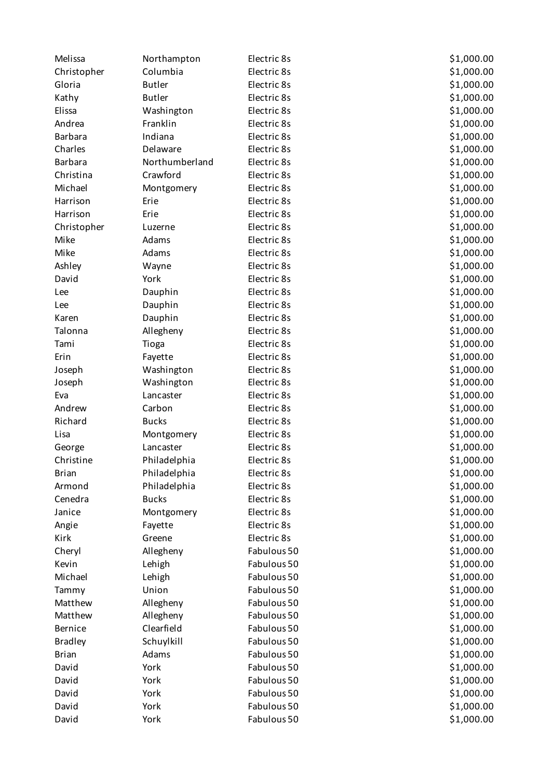| Melissa        | Northampton    | Electric 8s | \$1,000.00 |
|----------------|----------------|-------------|------------|
| Christopher    | Columbia       | Electric 8s | \$1,000.00 |
| Gloria         | <b>Butler</b>  | Electric 8s | \$1,000.00 |
| Kathy          | <b>Butler</b>  | Electric 8s | \$1,000.00 |
| Elissa         | Washington     | Electric 8s | \$1,000.00 |
| Andrea         | Franklin       | Electric 8s | \$1,000.00 |
| <b>Barbara</b> | Indiana        | Electric 8s | \$1,000.00 |
| Charles        | Delaware       | Electric 8s | \$1,000.00 |
| <b>Barbara</b> | Northumberland | Electric 8s | \$1,000.00 |
| Christina      | Crawford       | Electric 8s | \$1,000.00 |
| Michael        | Montgomery     | Electric 8s | \$1,000.00 |
| Harrison       | Erie           | Electric 8s | \$1,000.00 |
| Harrison       | Erie           | Electric 8s | \$1,000.00 |
| Christopher    | Luzerne        | Electric 8s | \$1,000.00 |
| Mike           | Adams          | Electric 8s | \$1,000.00 |
| Mike           | Adams          | Electric 8s | \$1,000.00 |
| Ashley         | Wayne          | Electric 8s | \$1,000.00 |
| David          | York           | Electric 8s | \$1,000.00 |
| Lee            | Dauphin        | Electric 8s | \$1,000.00 |
| Lee            | Dauphin        | Electric 8s | \$1,000.00 |
| Karen          | Dauphin        | Electric 8s | \$1,000.00 |
| Talonna        | Allegheny      | Electric 8s | \$1,000.00 |
| Tami           | Tioga          | Electric 8s | \$1,000.00 |
| Erin           | Fayette        | Electric 8s | \$1,000.00 |
| Joseph         | Washington     | Electric 8s | \$1,000.00 |
| Joseph         | Washington     | Electric 8s | \$1,000.00 |
| Eva            | Lancaster      | Electric 8s | \$1,000.00 |
| Andrew         | Carbon         | Electric 8s | \$1,000.00 |
| Richard        | <b>Bucks</b>   | Electric 8s | \$1,000.00 |
| Lisa           | Montgomery     | Electric 8s | \$1,000.00 |
| George         | Lancaster      | Electric 8s | \$1,000.00 |
| Christine      | Philadelphia   | Electric 8s | \$1,000.00 |
| <b>Brian</b>   | Philadelphia   | Electric 8s | \$1,000.00 |
| Armond         | Philadelphia   | Electric 8s | \$1,000.00 |
| Cenedra        | <b>Bucks</b>   | Electric 8s | \$1,000.00 |
| Janice         | Montgomery     | Electric 8s | \$1,000.00 |
| Angie          | Fayette        | Electric 8s | \$1,000.00 |
| Kirk           | Greene         | Electric 8s | \$1,000.00 |
| Cheryl         | Allegheny      | Fabulous 50 | \$1,000.00 |
| Kevin          | Lehigh         | Fabulous 50 | \$1,000.00 |
| Michael        | Lehigh         | Fabulous 50 | \$1,000.00 |
| Tammy          | Union          | Fabulous 50 | \$1,000.00 |
| Matthew        | Allegheny      | Fabulous 50 | \$1,000.00 |
| Matthew        | Allegheny      | Fabulous 50 | \$1,000.00 |
| Bernice        | Clearfield     | Fabulous 50 | \$1,000.00 |
| <b>Bradley</b> | Schuylkill     | Fabulous 50 | \$1,000.00 |
| <b>Brian</b>   | Adams          | Fabulous 50 | \$1,000.00 |
| David          | York           | Fabulous 50 | \$1,000.00 |
| David          | York           | Fabulous 50 | \$1,000.00 |
| David          | York           | Fabulous 50 | \$1,000.00 |
| David          | York           | Fabulous 50 | \$1,000.00 |
| David          | York           | Fabulous 50 | \$1,000.00 |
|                |                |             |            |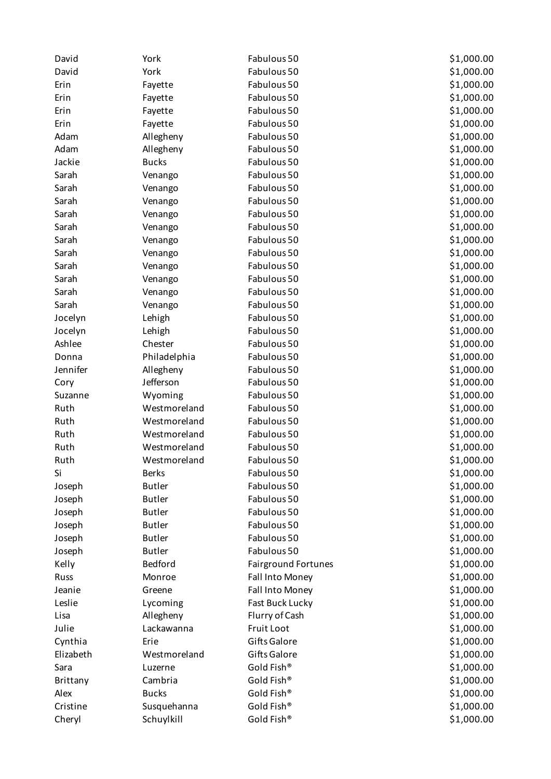| David           | York          | Fabulous 50                | \$1,000.00 |
|-----------------|---------------|----------------------------|------------|
| David           | York          | Fabulous 50                | \$1,000.00 |
| Erin            | Fayette       | Fabulous 50                | \$1,000.00 |
| Erin            | Fayette       | Fabulous 50                | \$1,000.00 |
| Erin            | Fayette       | Fabulous 50                | \$1,000.00 |
| Erin            | Fayette       | Fabulous 50                | \$1,000.00 |
| Adam            | Allegheny     | Fabulous 50                | \$1,000.00 |
| Adam            | Allegheny     | Fabulous 50                | \$1,000.00 |
| Jackie          | <b>Bucks</b>  | Fabulous 50                | \$1,000.00 |
| Sarah           | Venango       | Fabulous 50                | \$1,000.00 |
| Sarah           | Venango       | Fabulous 50                | \$1,000.00 |
| Sarah           | Venango       | Fabulous 50                | \$1,000.00 |
| Sarah           | Venango       | Fabulous 50                | \$1,000.00 |
| Sarah           | Venango       | Fabulous 50                | \$1,000.00 |
| Sarah           | Venango       | Fabulous 50                | \$1,000.00 |
| Sarah           | Venango       | Fabulous 50                | \$1,000.00 |
| Sarah           | Venango       | Fabulous 50                | \$1,000.00 |
| Sarah           | Venango       | Fabulous 50                | \$1,000.00 |
| Sarah           | Venango       | Fabulous 50                | \$1,000.00 |
| Sarah           | Venango       | Fabulous 50                | \$1,000.00 |
| Jocelyn         | Lehigh        | Fabulous 50                | \$1,000.00 |
| Jocelyn         | Lehigh        | Fabulous 50                | \$1,000.00 |
| Ashlee          | Chester       | Fabulous 50                | \$1,000.00 |
| Donna           | Philadelphia  | Fabulous 50                | \$1,000.00 |
| Jennifer        | Allegheny     | Fabulous 50                | \$1,000.00 |
| Cory            | Jefferson     | Fabulous 50                | \$1,000.00 |
| Suzanne         | Wyoming       | Fabulous 50                | \$1,000.00 |
| Ruth            | Westmoreland  | Fabulous 50                | \$1,000.00 |
| Ruth            | Westmoreland  | Fabulous 50                | \$1,000.00 |
| Ruth            | Westmoreland  | Fabulous 50                | \$1,000.00 |
| Ruth            | Westmoreland  | Fabulous 50                | \$1,000.00 |
| Ruth            | Westmoreland  | Fabulous 50                | \$1,000.00 |
| Si              | <b>Berks</b>  | Fabulous 50                | \$1,000.00 |
| Joseph          | <b>Butler</b> | Fabulous 50                | \$1,000.00 |
| Joseph          | <b>Butler</b> | Fabulous 50                | \$1,000.00 |
| Joseph          | <b>Butler</b> | Fabulous 50                | \$1,000.00 |
| Joseph          | <b>Butler</b> | Fabulous 50                | \$1,000.00 |
| Joseph          | <b>Butler</b> | Fabulous 50                | \$1,000.00 |
| Joseph          | <b>Butler</b> | Fabulous 50                | \$1,000.00 |
| Kelly           | Bedford       | <b>Fairground Fortunes</b> | \$1,000.00 |
| Russ            | Monroe        | Fall Into Money            | \$1,000.00 |
| Jeanie          | Greene        | Fall Into Money            | \$1,000.00 |
| Leslie          | Lycoming      | Fast Buck Lucky            | \$1,000.00 |
| Lisa            | Allegheny     | Flurry of Cash             | \$1,000.00 |
| Julie           | Lackawanna    | Fruit Loot                 | \$1,000.00 |
| Cynthia         | Erie          | Gifts Galore               | \$1,000.00 |
| Elizabeth       | Westmoreland  | Gifts Galore               | \$1,000.00 |
| Sara            | Luzerne       | Gold Fish®                 | \$1,000.00 |
| <b>Brittany</b> | Cambria       | Gold Fish®                 | \$1,000.00 |
| Alex            | <b>Bucks</b>  | Gold Fish®                 | \$1,000.00 |
| Cristine        | Susquehanna   | Gold Fish®                 | \$1,000.00 |
| Cheryl          | Schuylkill    | Gold Fish®                 | \$1,000.00 |
|                 |               |                            |            |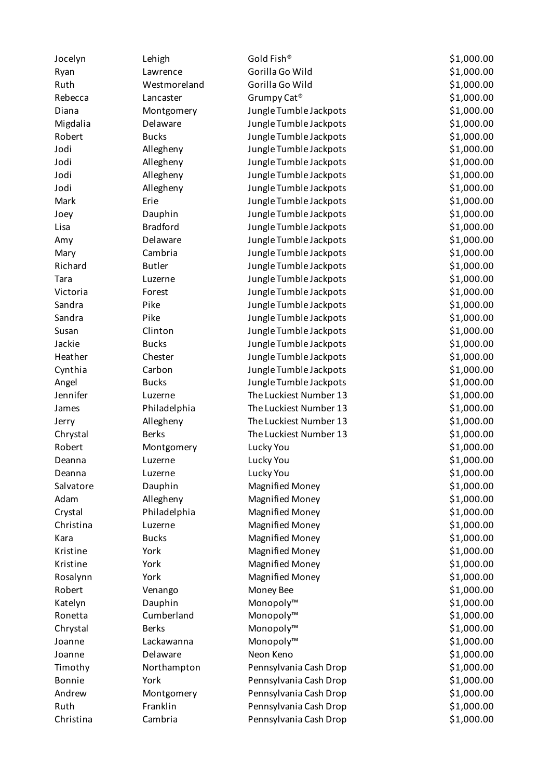| Jocelyn   | Lehigh          | Gold Fish®              | \$1,000.00 |
|-----------|-----------------|-------------------------|------------|
| Ryan      | Lawrence        | Gorilla Go Wild         | \$1,000.00 |
| Ruth      | Westmoreland    | Gorilla Go Wild         | \$1,000.00 |
| Rebecca   | Lancaster       | Grumpy Cat <sup>®</sup> | \$1,000.00 |
| Diana     | Montgomery      | Jungle Tumble Jackpots  | \$1,000.00 |
| Migdalia  | Delaware        | Jungle Tumble Jackpots  | \$1,000.00 |
| Robert    | <b>Bucks</b>    | Jungle Tumble Jackpots  | \$1,000.00 |
| Jodi      | Allegheny       | Jungle Tumble Jackpots  | \$1,000.00 |
| Jodi      | Allegheny       | Jungle Tumble Jackpots  | \$1,000.00 |
| Jodi      | Allegheny       | Jungle Tumble Jackpots  | \$1,000.00 |
| Jodi      | Allegheny       | Jungle Tumble Jackpots  | \$1,000.00 |
| Mark      | Erie            | Jungle Tumble Jackpots  | \$1,000.00 |
| Joey      | Dauphin         | Jungle Tumble Jackpots  | \$1,000.00 |
| Lisa      | <b>Bradford</b> | Jungle Tumble Jackpots  | \$1,000.00 |
| Amy       | Delaware        | Jungle Tumble Jackpots  | \$1,000.00 |
| Mary      | Cambria         | Jungle Tumble Jackpots  | \$1,000.00 |
| Richard   | <b>Butler</b>   | Jungle Tumble Jackpots  | \$1,000.00 |
| Tara      | Luzerne         | Jungle Tumble Jackpots  | \$1,000.00 |
| Victoria  | Forest          | Jungle Tumble Jackpots  | \$1,000.00 |
| Sandra    | Pike            | Jungle Tumble Jackpots  | \$1,000.00 |
| Sandra    | Pike            | Jungle Tumble Jackpots  | \$1,000.00 |
| Susan     | Clinton         | Jungle Tumble Jackpots  | \$1,000.00 |
| Jackie    | <b>Bucks</b>    | Jungle Tumble Jackpots  | \$1,000.00 |
| Heather   | Chester         | Jungle Tumble Jackpots  | \$1,000.00 |
| Cynthia   | Carbon          | Jungle Tumble Jackpots  | \$1,000.00 |
| Angel     | <b>Bucks</b>    | Jungle Tumble Jackpots  | \$1,000.00 |
| Jennifer  | Luzerne         | The Luckiest Number 13  | \$1,000.00 |
| James     | Philadelphia    | The Luckiest Number 13  | \$1,000.00 |
| Jerry     | Allegheny       | The Luckiest Number 13  | \$1,000.00 |
| Chrystal  | <b>Berks</b>    | The Luckiest Number 13  | \$1,000.00 |
| Robert    | Montgomery      | Lucky You               | \$1,000.00 |
| Deanna    | Luzerne         | Lucky You               | \$1,000.00 |
| Deanna    | Luzerne         | Lucky You               | \$1,000.00 |
| Salvatore | Dauphin         | <b>Magnified Money</b>  | \$1,000.00 |
| Adam      | Allegheny       | <b>Magnified Money</b>  | \$1,000.00 |
| Crystal   | Philadelphia    | <b>Magnified Money</b>  | \$1,000.00 |
| Christina | Luzerne         | <b>Magnified Money</b>  | \$1,000.00 |
| Kara      | <b>Bucks</b>    | <b>Magnified Money</b>  | \$1,000.00 |
| Kristine  | York            | <b>Magnified Money</b>  | \$1,000.00 |
| Kristine  | York            | <b>Magnified Money</b>  | \$1,000.00 |
| Rosalynn  | York            | <b>Magnified Money</b>  | \$1,000.00 |
| Robert    | Venango         | Money Bee               | \$1,000.00 |
| Katelyn   | Dauphin         | Monopoly™               | \$1,000.00 |
| Ronetta   | Cumberland      | Monopoly™               | \$1,000.00 |
| Chrystal  | <b>Berks</b>    | Monopoly™               | \$1,000.00 |
| Joanne    | Lackawanna      | Monopoly™               | \$1,000.00 |
| Joanne    | Delaware        | Neon Keno               | \$1,000.00 |
| Timothy   | Northampton     | Pennsylvania Cash Drop  | \$1,000.00 |
| Bonnie    | York            | Pennsylvania Cash Drop  | \$1,000.00 |
| Andrew    | Montgomery      | Pennsylvania Cash Drop  | \$1,000.00 |
| Ruth      | Franklin        | Pennsylvania Cash Drop  | \$1,000.00 |
| Christina | Cambria         | Pennsylvania Cash Drop  | \$1,000.00 |
|           |                 |                         |            |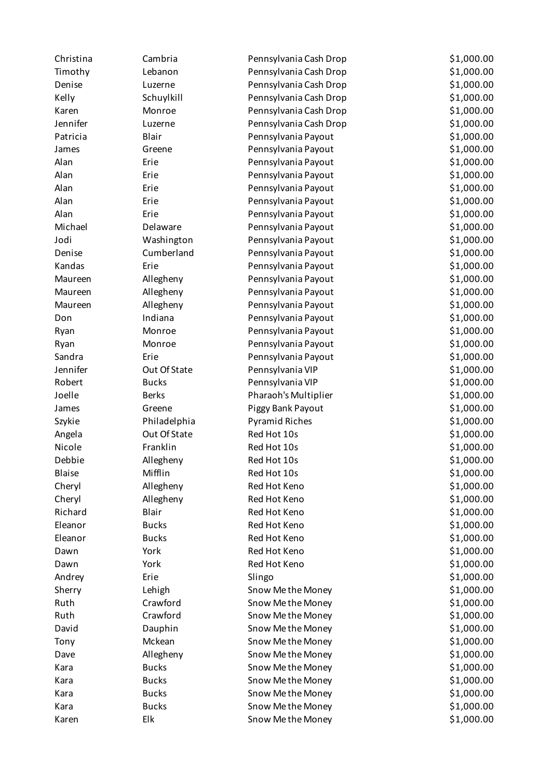| Christina | Cambria      | Pennsylvania Cash Drop | \$1,000.00 |
|-----------|--------------|------------------------|------------|
| Timothy   | Lebanon      | Pennsylvania Cash Drop | \$1,000.00 |
| Denise    | Luzerne      | Pennsylvania Cash Drop | \$1,000.00 |
| Kelly     | Schuylkill   | Pennsylvania Cash Drop | \$1,000.00 |
| Karen     | Monroe       | Pennsylvania Cash Drop | \$1,000.00 |
| Jennifer  | Luzerne      | Pennsylvania Cash Drop | \$1,000.00 |
| Patricia  | Blair        | Pennsylvania Payout    | \$1,000.00 |
| James     | Greene       | Pennsylvania Payout    | \$1,000.00 |
| Alan      | Erie         | Pennsylvania Payout    | \$1,000.00 |
| Alan      | Erie         | Pennsylvania Payout    | \$1,000.00 |
| Alan      | Erie         | Pennsylvania Payout    | \$1,000.00 |
| Alan      | Erie         | Pennsylvania Payout    | \$1,000.00 |
| Alan      | Erie         | Pennsylvania Payout    | \$1,000.00 |
| Michael   | Delaware     | Pennsylvania Payout    | \$1,000.00 |
| Jodi      | Washington   | Pennsylvania Payout    | \$1,000.00 |
| Denise    | Cumberland   | Pennsylvania Payout    | \$1,000.00 |
| Kandas    | Erie         | Pennsylvania Payout    | \$1,000.00 |
| Maureen   | Allegheny    | Pennsylvania Payout    | \$1,000.00 |
| Maureen   | Allegheny    | Pennsylvania Payout    | \$1,000.00 |
| Maureen   | Allegheny    | Pennsylvania Payout    | \$1,000.00 |
| Don       | Indiana      | Pennsylvania Payout    | \$1,000.00 |
| Ryan      | Monroe       | Pennsylvania Payout    | \$1,000.00 |
| Ryan      | Monroe       | Pennsylvania Payout    | \$1,000.00 |
| Sandra    | Erie         | Pennsylvania Payout    | \$1,000.00 |
| Jennifer  | Out Of State | Pennsylvania VIP       | \$1,000.00 |
| Robert    | <b>Bucks</b> | Pennsylvania VIP       | \$1,000.00 |
| Joelle    | <b>Berks</b> | Pharaoh's Multiplier   | \$1,000.00 |
| James     | Greene       | Piggy Bank Payout      | \$1,000.00 |
| Szykie    | Philadelphia | <b>Pyramid Riches</b>  | \$1,000.00 |
| Angela    | Out Of State | Red Hot 10s            | \$1,000.00 |
| Nicole    | Franklin     | Red Hot 10s            | \$1,000.00 |
| Debbie    | Allegheny    | Red Hot 10s            | \$1,000.00 |
| Blaise    | Mifflin      | Red Hot 10s            | \$1,000.00 |
| Cheryl    | Allegheny    | Red Hot Keno           | \$1,000.00 |
| Cheryl    | Allegheny    | Red Hot Keno           | \$1,000.00 |
| Richard   | Blair        | Red Hot Keno           | \$1,000.00 |
| Eleanor   | <b>Bucks</b> | Red Hot Keno           | \$1,000.00 |
| Eleanor   | <b>Bucks</b> | Red Hot Keno           | \$1,000.00 |
| Dawn      | York         | Red Hot Keno           | \$1,000.00 |
| Dawn      | York         | Red Hot Keno           | \$1,000.00 |
| Andrey    | Erie         | Slingo                 | \$1,000.00 |
| Sherry    | Lehigh       | Snow Me the Money      | \$1,000.00 |
| Ruth      | Crawford     | Snow Me the Money      | \$1,000.00 |
| Ruth      | Crawford     | Snow Me the Money      | \$1,000.00 |
| David     | Dauphin      | Snow Me the Money      | \$1,000.00 |
| Tony      | Mckean       | Snow Me the Money      | \$1,000.00 |
| Dave      | Allegheny    | Snow Me the Money      | \$1,000.00 |
| Kara      | <b>Bucks</b> | Snow Me the Money      | \$1,000.00 |
| Kara      | <b>Bucks</b> | Snow Me the Money      | \$1,000.00 |
| Kara      | <b>Bucks</b> | Snow Me the Money      | \$1,000.00 |
| Kara      | <b>Bucks</b> | Snow Me the Money      | \$1,000.00 |
| Karen     | Elk          | Snow Me the Money      | \$1,000.00 |
|           |              |                        |            |